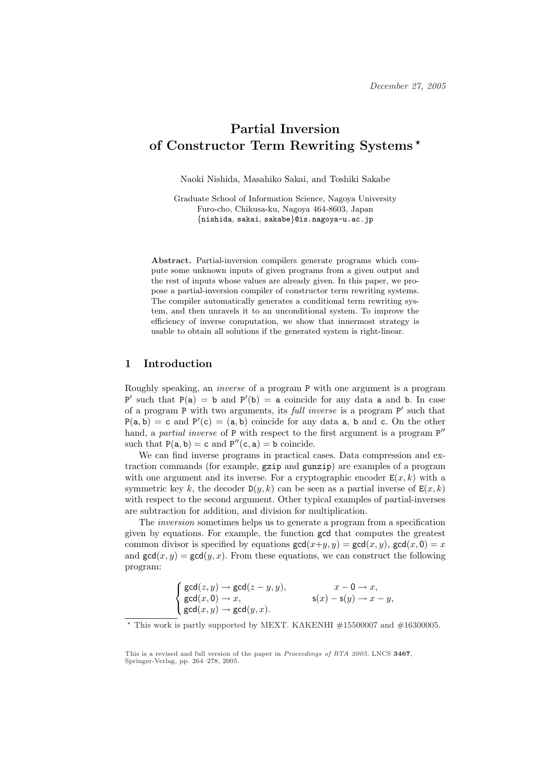# **Partial Inversion of Constructor Term Rewriting Systems** *?*

Naoki Nishida, Masahiko Sakai, and Toshiki Sakabe

Graduate School of Information Science, Nagoya University Furo-cho, Chikusa-ku, Nagoya 464-8603, Japan *{*nishida, sakai, sakabe*}*@is.nagoya-u.ac.jp

**Abstract.** Partial-inversion compilers generate programs which compute some unknown inputs of given programs from a given output and the rest of inputs whose values are already given. In this paper, we propose a partial-inversion compiler of constructor term rewriting systems. The compiler automatically generates a conditional term rewriting system, and then unravels it to an unconditional system. To improve the efficiency of inverse computation, we show that innermost strategy is usable to obtain all solutions if the generated system is right-linear.

## **1 Introduction**

Roughly speaking, an *inverse* of a program P with one argument is a program  $P'$  such that  $P(a) = b$  and  $P'(b) = a$  coincide for any data a and b. In case of a program P with two arguments, its *full inverse* is a program P *0* such that  $P(a, b) = c$  and  $P'(c) = (a, b)$  coincide for any data a, b and c. On the other hand, a *partial inverse* of P with respect to the first argument is a program  $P''$ such that  $P(a, b) = c$  and  $P''(c, a) = b$  coincide.

We can find inverse programs in practical cases. Data compression and extraction commands (for example, gzip and gunzip) are examples of a program with one argument and its inverse. For a cryptographic encoder  $E(x, k)$  with a symmetric key k, the decoder  $D(y, k)$  can be seen as a partial inverse of  $E(x, k)$ with respect to the second argument. Other typical examples of partial-inverses are subtraction for addition, and division for multiplication.

The *inversion* sometimes helps us to generate a program from a specification given by equations. For example, the function gcd that computes the greatest common divisor is specified by equations  $gcd(x+y, y) = gcd(x, y)$ ,  $gcd(x, 0) = x$ and  $gcd(x, y) = gcd(y, x)$ . From these equations, we can construct the following program:

$$
\begin{cases}\text{gcd}(z,y)\rightarrow\text{gcd}(z-y,y),&x-0\rightarrow x,\\ \text{gcd}(x,0)\rightarrow x,&\text{s}(x)-\text{s}(y)\rightarrow x-y,\\ \text{gcd}(x,y)\rightarrow\text{gcd}(y,x).\end{cases}
$$

<sup>\*</sup> This work is partly supported by MEXT. KAKENHI  $\#15500007$  and  $\#16300005$ .

This is a revised and full version of the paper in *Proceedings of RTA 2005*, LNCS **3467**, Springer-Verlag, pp. 264–278, 2005.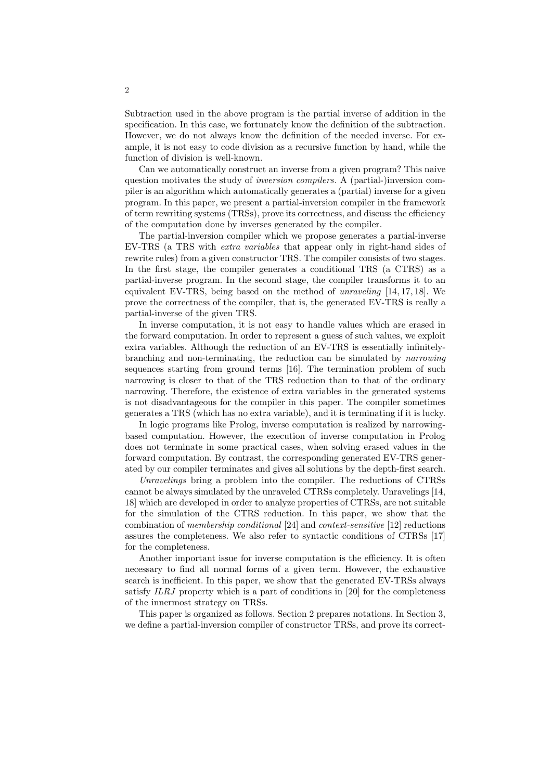Subtraction used in the above program is the partial inverse of addition in the specification. In this case, we fortunately know the definition of the subtraction. However, we do not always know the definition of the needed inverse. For example, it is not easy to code division as a recursive function by hand, while the function of division is well-known.

Can we automatically construct an inverse from a given program? This naive question motivates the study of *inversion compilers*. A (partial-)inversion compiler is an algorithm which automatically generates a (partial) inverse for a given program. In this paper, we present a partial-inversion compiler in the framework of term rewriting systems (TRSs), prove its correctness, and discuss the efficiency of the computation done by inverses generated by the compiler.

The partial-inversion compiler which we propose generates a partial-inverse EV-TRS (a TRS with *extra variables* that appear only in right-hand sides of rewrite rules) from a given constructor TRS. The compiler consists of two stages. In the first stage, the compiler generates a conditional TRS (a CTRS) as a partial-inverse program. In the second stage, the compiler transforms it to an equivalent EV-TRS, being based on the method of *unraveling* [14, 17, 18]. We prove the correctness of the compiler, that is, the generated EV-TRS is really a partial-inverse of the given TRS.

In inverse computation, it is not easy to handle values which are erased in the forward computation. In order to represent a guess of such values, we exploit extra variables. Although the reduction of an EV-TRS is essentially infinitelybranching and non-terminating, the reduction can be simulated by *narrowing* sequences starting from ground terms [16]. The termination problem of such narrowing is closer to that of the TRS reduction than to that of the ordinary narrowing. Therefore, the existence of extra variables in the generated systems is not disadvantageous for the compiler in this paper. The compiler sometimes generates a TRS (which has no extra variable), and it is terminating if it is lucky.

In logic programs like Prolog, inverse computation is realized by narrowingbased computation. However, the execution of inverse computation in Prolog does not terminate in some practical cases, when solving erased values in the forward computation. By contrast, the corresponding generated EV-TRS generated by our compiler terminates and gives all solutions by the depth-first search.

*Unravelings* bring a problem into the compiler. The reductions of CTRSs cannot be always simulated by the unraveled CTRSs completely. Unravelings [14, 18] which are developed in order to analyze properties of CTRSs, are not suitable for the simulation of the CTRS reduction. In this paper, we show that the combination of *membership conditional* [24] and *context-sensitive* [12] reductions assures the completeness. We also refer to syntactic conditions of CTRSs [17] for the completeness.

Another important issue for inverse computation is the efficiency. It is often necessary to find all normal forms of a given term. However, the exhaustive search is inefficient. In this paper, we show that the generated EV-TRSs always satisfy *ILRJ* property which is a part of conditions in [20] for the completeness of the innermost strategy on TRSs.

This paper is organized as follows. Section 2 prepares notations. In Section 3, we define a partial-inversion compiler of constructor TRSs, and prove its correct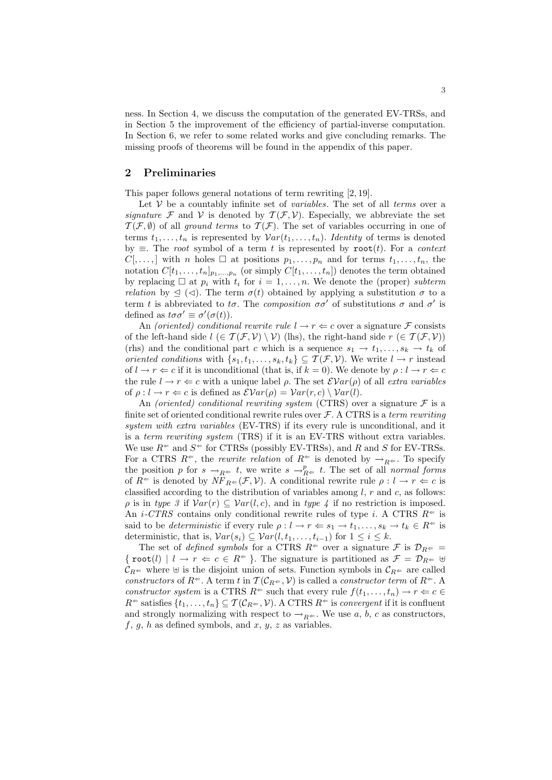ness. In Section 4, we discuss the computation of the generated EV-TRSs, and in Section 5 the improvement of the efficiency of partial-inverse computation. In Section 6, we refer to some related works and give concluding remarks. The missing proofs of theorems will be found in the appendix of this paper.

## **2 Preliminaries**

This paper follows general notations of term rewriting [2, 19].

Let *V* be a countably infinite set of *variables*. The set of all *terms* over a *signature*  $\mathcal F$  and  $\mathcal V$  is denoted by  $\mathcal T(\mathcal F,\mathcal V)$ . Especially, we abbreviate the set  $T(\mathcal{F}, \emptyset)$  of all *ground terms* to  $T(\mathcal{F})$ . The set of variables occurring in one of terms  $t_1, \ldots, t_n$  is represented by  $Var(t_1, \ldots, t_n)$ . *Identity* of terms is denoted by *≡*. The *root* symbol of a term *t* is represented by root(*t*). For a *context*  $C$ [,...,] with *n* holes  $\Box$  at positions  $p_1, \ldots, p_n$  and for terms  $t_1, \ldots, t_n$ , the notation  $C[t_1, \ldots, t_n]_{p_1, \ldots, p_n}$  (or simply  $C[t_1, \ldots, t_n]$ ) denotes the term obtained by replacing  $\Box$  at  $p_i$  with  $t_i$  for  $i = 1, \ldots, n$ . We denote the (proper) *subterm relation* by  $\leq$  ( $\triangleleft$ ). The term  $\sigma(t)$  obtained by applying a substitution  $\sigma$  to a term *t* is abbreviated to *to*. The *composition*  $\sigma \sigma'$  of substitutions  $\sigma$  and  $\sigma'$  is defined as  $t\sigma\sigma' \equiv \sigma'(\sigma(t)).$ 

An *(oriented)* conditional rewrite rule  $l \rightarrow r \Leftarrow c$  over a signature F consists of the left-hand side  $l \in \mathcal{T}(\mathcal{F}, \mathcal{V}) \setminus \mathcal{V}$  (lhs), the right-hand side  $r \in \mathcal{T}(\mathcal{F}, \mathcal{V})$ (rhs) and the conditional part *c* which is a sequence  $s_1 \rightarrow t_1, \ldots, s_k \rightarrow t_k$  of *oriented conditions* with  $\{s_1, t_1, \ldots, s_k, t_k\} \subseteq T(\mathcal{F}, \mathcal{V})$ . We write  $l \to r$  instead of  $l \rightarrow r \Leftarrow c$  if it is unconditional (that is, if  $k = 0$ ). We denote by  $\rho: l \rightarrow r \Leftarrow c$ the rule  $l \rightarrow r \leftarrow c$  with a unique label  $\rho$ . The set  $\mathcal{E}Var(\rho)$  of all *extra variables* of  $\rho: l \to r \Leftarrow c$  is defined as  $\mathcal{E}Var(\rho) = Var(r, c) \setminus Var(l)$ .

An *(oriented)* conditional rewriting system *(CTRS)* over a signature  $\mathcal F$  is a finite set of oriented conditional rewrite rules over  $F$ . A CTRS is a *term rewriting system with extra variables* (EV-TRS) if its every rule is unconditional, and it is a *term rewriting system* (TRS) if it is an EV-TRS without extra variables. We use  $R^{\Leftarrow}$  and  $S^{\Leftarrow}$  for CTRSs (possibly EV-TRSs), and *R* and *S* for EV-TRSs. For a CTRS  $R^{\Leftarrow}$ , the *rewrite relation* of  $R^{\Leftarrow}$  is denoted by  $\rightarrow_{R^{\Leftarrow}}$ . To specify the position *p* for  $s \to_{R^{\Leftarrow}} t$ , we write  $s \to_{R^{\Leftarrow}}^p t$ . The set of all *normal forms* of  $R^{\Leftarrow}$  is denoted by  $N\overline{F}_{R^{\Leftarrow}}(\mathcal{F}, \mathcal{V})$ . A conditional rewrite rule  $\rho: l \to r \Leftarrow c$  is classified according to the distribution of variables among *l*, *r* and *c*, as follows:  $\rho$  is in *type 3* if  $Var(r) \subseteq Var(l, c)$ , and in *type 4* if no restriction is imposed. An *i*-CTRS contains only conditional rewrite rules of type *i*. A CTRS  $R^{\Leftarrow}$  is said to be *deterministic* if every rule  $\rho: l \to r \Leftrightarrow s_1 \to t_1, \ldots, s_k \to t_k \in R^{\Leftarrow}$  is deterministic, that is,  $Var(s_i) ⊆ Var(l, t_1, \ldots, t_{i-1})$  for  $1 ≤ i ≤ k$ .

The set of *defined symbols* for a CTRS  $R^{\Leftarrow}$  over a signature  $\mathcal{F}$  is  $\mathcal{D}_{R^{\Leftarrow}} =$ { root(*l*)  $| l \to r \Leftrightarrow c \in R^{\Leftarrow}$  }. The signature is partitioned as  $\mathcal{F} = \mathcal{D}_{R^{\Leftarrow}} \oplus$  $C_R \in \mathbb{R}^+$  where  $\oplus$  is the disjoint union of sets. Function symbols in  $C_R \in \mathbb{R}^+$  are called *constructors* of  $R^{\Leftarrow}$ . A term *t* in  $\mathcal{T}(\mathcal{C}_{R^{\Leftarrow}}, \mathcal{V})$  is called a *constructor term* of  $R^{\Leftarrow}$ . A *constructor system* is a CTRS  $R^{\Leftarrow}$  such that every rule  $f(t_1, \ldots, t_n) \to r \Leftarrow c \in$  $R^{\Leftarrow}$  satisfies  $\{t_1, \ldots, t_n\} \subseteq T(C_{R^{\Leftarrow}}, V)$ . A CTRS  $R^{\Leftarrow}$  is *convergent* if it is confluent and strongly normalizing with respect to  $\rightarrow_{R\Leftarrow}$ . We use *a*, *b*, *c* as constructors, *f*, *g*, *h* as defined symbols, and *x*, *y*, *z* as variables.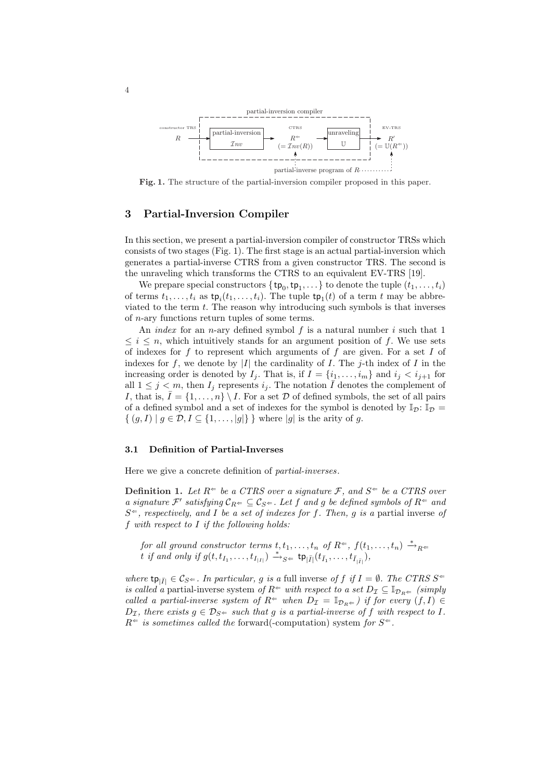

**Fig. 1.** The structure of the partial-inversion compiler proposed in this paper.

## **3 Partial-Inversion Compiler**

In this section, we present a partial-inversion compiler of constructor TRSs which consists of two stages (Fig. 1). The first stage is an actual partial-inversion which generates a partial-inverse CTRS from a given constructor TRS. The second is the unraveling which transforms the CTRS to an equivalent EV-TRS [19].

We prepare special constructors  $\{\mathsf{tp}_0, \mathsf{tp}_1, \ldots\}$  to denote the tuple  $(t_1, \ldots, t_i)$ of terms  $t_1, \ldots, t_i$  as  $tp_i(t_1, \ldots, t_i)$ . The tuple  $tp_1(t)$  of a term  $t$  may be abbreviated to the term *t*. The reason why introducing such symbols is that inverses of *n*-ary functions return tuples of some terms.

An *index* for an *n*-ary defined symbol *f* is a natural number *i* such that 1 *≤ i ≤ n*, which intuitively stands for an argument position of *f*. We use sets of indexes for *f* to represent which arguments of *f* are given. For a set *I* of indexes for  $f$ , we denote by  $|I|$  the cardinality of  $I$ . The  $j$ -th index of  $I$  in the increasing order is denoted by  $I_j$ . That is, if  $I = \{i_1, \ldots, i_m\}$  and  $i_j < i_{j+1}$  for all  $1 \leq j \leq m$ , then  $I_j$  represents  $i_j$ . The notation  $\overline{I}$  denotes the complement of *I*, that is,  $I = \{1, \ldots, n\} \setminus I$ . For a set  $D$  of defined symbols, the set of all pairs of a defined symbol and a set of indexes for the symbol is denoted by  $\mathbb{I}_{\mathcal{D}}$ :  $\mathbb{I}_{\mathcal{D}}$  $\{(g, I) | g \in \mathcal{D}, I \subseteq \{1, \ldots, |g|\}\}\$  where  $|g|$  is the arity of *g*.

#### **3.1 Definition of Partial-Inverses**

Here we give a concrete definition of *partial-inverses*.

**Definition 1.** Let  $R^{\Leftarrow}$  be a CTRS over a signature  $\mathcal{F}$ , and  $S^{\Leftarrow}$  be a CTRS over *a* signature  $\mathcal{F}'$  satisfying  $C_{R^{\Leftarrow}} \subseteq C_{S^{\Leftarrow}}$ . Let  $f$  and  $g$  be defined symbols of  $R^{\Leftarrow}$  and *S ⇐, respectively, and I be a set of indexes for f. Then, g is a* partial inverse *of f with respect to I if the following holds:*

 $$ t if and only if  $g(t, t_{I_1}, \ldots, t_{I_{|I|}}) \stackrel{*}{\rightarrow}_{S^{\Leftarrow}}$   $\tt t p_{|\overline{I}|}(t_{\overline{I}_1}, \ldots, t_{\overline{I}_{|\overline{I}|}})$ ,

*where*  $\mathbf{tp}_{|\overline{I}|} \in \mathcal{C}_{S^{\Leftarrow}}$ *. In particular, g is a* full inverse *of f if*  $I = \emptyset$ *. The CTRS*  $S^{\Leftarrow}$ *is called a* partial-inverse system *of*  $R^{\Leftarrow}$  *with respect to a set*  $D_{\mathcal{I}} \subseteq \mathbb{I}_{\mathcal{D}_R \Leftarrow}$  *(simply called a partial-inverse system of*  $R^{\Leftarrow}$  *when*  $D_{\mathcal{I}} = \mathbb{I}_{\mathcal{D}_R^{\Leftarrow}}$  *if for every*  $(f, I) \in$  $D_{\mathcal{I}}$ , there exists  $g \in \mathcal{D}_{S^{\Leftarrow}}$  such that *g* is a partial-inverse of *f* with respect to *I.*  $R^{\Leftarrow}$  *is sometimes called the* forward(-computation) system for  $S^{\Leftarrow}$ .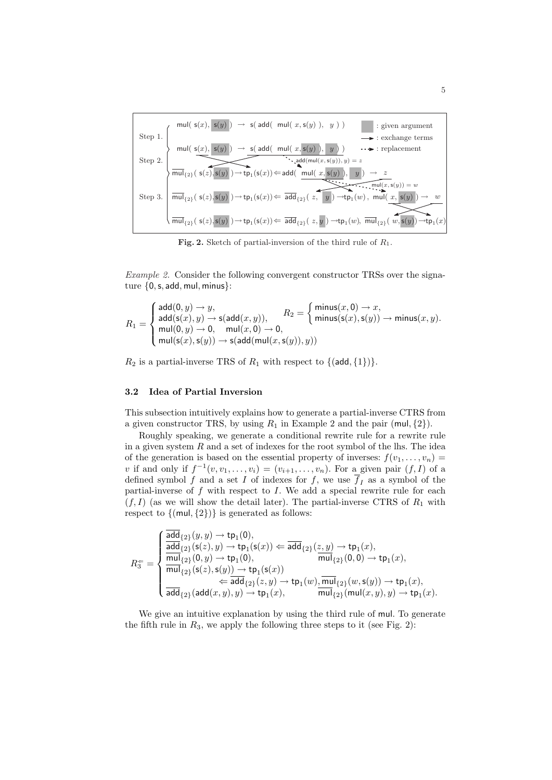

**Fig. 2.** Sketch of partial-inversion of the third rule of *R*1.

*Example 2.* Consider the following convergent constructor TRSs over the signature *{*0*,*s*,* add*,* mul*,* minus*}*:

$$
R_1=\left\{\begin{aligned}&\text{add}(0,y)\rightarrow y,\\&\text{add}(\mathsf{s}(x),y)\rightarrow\mathsf{s}(\text{add}(x,y)),\\&\text{mul}(0,y)\rightarrow0, \quad \text{mul}(x,0)\rightarrow0,\\&\text{mul}(\mathsf{s}(x),\mathsf{s}(y))\rightarrow\mathsf{s}(\text{add}(\text{mul}(x,\mathsf{s}(y)),y))\\&\text{mul}(\mathsf{s}(x),\mathsf{s}(y))\rightarrow\mathsf{s}(\text{add}(\text{mul}(x,\mathsf{s}(y)),y))\end{aligned}\right.
$$

 $R_2$  is a partial-inverse TRS of  $R_1$  with respect to  $\{(\text{add}, \{1\})\}.$ 

#### **3.2 Idea of Partial Inversion**

This subsection intuitively explains how to generate a partial-inverse CTRS from a given constructor TRS, by using  $R_1$  in Example 2 and the pair (mul,  $\{2\}$ ).

Roughly speaking, we generate a conditional rewrite rule for a rewrite rule in a given system *R* and a set of indexes for the root symbol of the lhs. The idea of the generation is based on the essential property of inverses:  $f(v_1, \ldots, v_n)$ *v* if and only if  $f^{-1}(v, v_1, \ldots, v_i) = (v_{i+1}, \ldots, v_n)$ . For a given pair  $(f, I)$  of a defined symbol *f* and a set *I* of indexes for *f*, we use  $\overline{f}_I$  as a symbol of the partial-inverse of *f* with respect to *I*. We add a special rewrite rule for each  $(f, I)$  (as we will show the detail later). The partial-inverse CTRS of  $R_1$  with respect to *{*(mul*, {*2*}*)*}* is generated as follows:

$$
R_3^{\pm} = \begin{cases} \overline{\text{add}}_{\{2\}}(y,y) \to \mathfrak{tp}_1(0), \\ \overline{\text{add}}_{\{2\}}(\mathsf{s}(z),y) \to \mathfrak{tp}_1(\mathsf{s}(x)) \Leftarrow \overline{\text{add}}_{\{2\}}(z,y) \to \mathfrak{tp}_1(x), \\ \overline{\text{mul}}_{\{2\}}(0,y) \to \mathfrak{tp}_1(0), \\ \overline{\text{mul}}_{\{2\}}(\mathsf{s}(z),\mathsf{s}(y)) \to \mathfrak{tp}_1(\mathsf{s}(x)) \\ \qquad \qquad \leftarrow \overline{\text{add}}_{\{2\}}(z,y) \to \mathfrak{tp}_1(w), \overline{\text{mul}}_{\{2\}}(w,\mathsf{s}(y)) \to \mathfrak{tp}_1(x), \\ \overline{\text{add}}_{\{2\}}(\text{add}(x,y),y) \to \mathfrak{tp}_1(x), \end{cases}
$$

We give an intuitive explanation by using the third rule of mul. To generate the fifth rule in  $R_3$ , we apply the following three steps to it (see Fig. 2):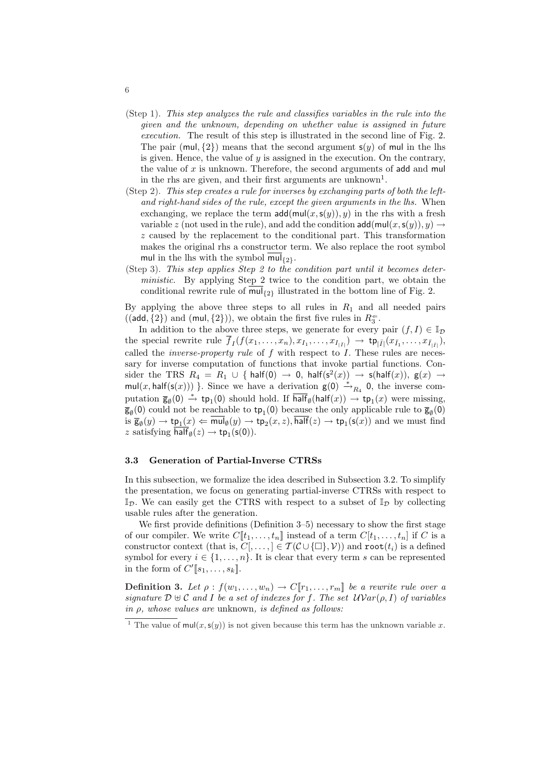- (Step 1). *This step analyzes the rule and classifies variables in the rule into the given and the unknown, depending on whether value is assigned in future execution.* The result of this step is illustrated in the second line of Fig. 2. The pair (mul,  $\{2\}$ ) means that the second argument  $s(y)$  of mul in the lhs is given. Hence, the value of  $y$  is assigned in the execution. On the contrary, the value of *x* is unknown. Therefore, the second arguments of add and mul in the rhs are given, and their first arguments are unknown<sup>1</sup>.
- (Step 2). *This step creates a rule for inverses by exchanging parts of both the leftand right-hand sides of the rule, except the given arguments in the lhs.* When exchanging, we replace the term  $add(mul(x, s(y)), y)$  in the rhs with a fresh variable *z* (not used in the rule), and add the condition  $add(mul(x, s(y)), y) \rightarrow$ *z* caused by the replacement to the conditional part. This transformation makes the original rhs a constructor term. We also replace the root symbol mul in the lhs with the symbol  $\overline{\mathrm{mul}}_{\{2\}}$ .
- (Step 3). *This step applies Step 2 to the condition part until it becomes deterministic.* By applying Step 2 twice to the condition part, we obtain the conditional rewrite rule of  $\overline{\text{mul}}_{\{2\}}$  illustrated in the bottom line of Fig. 2.

By applying the above three steps to all rules in  $R_1$  and all needed pairs  $((\text{add}, \{2\}) \text{ and } (\text{mul}, \{2\})),$  we obtain the first five rules in  $R_3^{\Leftarrow}$ .

In addition to the above three steps, we generate for every pair  $(f, I) \in \mathbb{I}_{\mathcal{D}}$ the special rewrite rule  $f_I(f(x_1,\ldots,x_n),x_{I_1},\ldots,x_{I_{|\bar{I}|}}) \to \text{tp}_{|\bar{I}|}(x_{\bar{I}_1},\ldots,x_{\bar{I}_{|\bar{I}|}})$ , called the *inverse-property rule* of *f* with respect to *I*. These rules are necessary for inverse computation of functions that invoke partial functions. Consider the TRS  $R_4 = R_1 \cup \{ \text{ half}(0) \to 0, \text{ half}(s^2(x)) \to \text{s}( \text{ half}(x)), \text{ g}(x) \to \text{ }$ mul(*x*, half(s(*x*))) }. Since we have a derivation  $g(0) \stackrel{*}{\rightarrow}_{R_4} 0$ , the inverse computation  $\overline{\mathbf{g}}_{\emptyset}(0) \stackrel{*}{\to} \mathsf{tp}_1(0)$  should hold. If  $\overline{\mathsf{half}}_{\emptyset}(\mathsf{half}(x)) \to \mathsf{tp}_1(x)$  were missing,  $\overline{g}_{\emptyset}(0)$  could not be reachable to  $tp_1(0)$  because the only applicable rule to  $\overline{g}_{\emptyset}(0)$ is  $\overline{\mathbf{g}}_{\emptyset}(y) \to \operatorname{tp}_{1}(x) \Leftarrow \operatorname{mul}_{\emptyset}(y) \to \operatorname{tp}_{2}(x, z)$ , half(*z*)  $\to \operatorname{tp}_{1}(\mathbf{s}(x))$  and we must find *z* satisfying  $\text{half}_{\emptyset}(z) \rightarrow \text{tp}_1(\textbf{s}(0)).$ 

## **3.3 Generation of Partial-Inverse CTRSs**

In this subsection, we formalize the idea described in Subsection 3.2. To simplify the presentation, we focus on generating partial-inverse CTRSs with respect to  $\mathbb{I}_{\mathcal{D}}$ . We can easily get the CTRS with respect to a subset of  $\mathbb{I}_{\mathcal{D}}$  by collecting usable rules after the generation.

We first provide definitions (Definition 3–5) necessary to show the first stage of our compiler. We write  $C[\![t_1, \ldots, t_n]\!]$  instead of a term  $C[t_1, \ldots, t_n]$  if C is a constructor context (that is,  $C[\ldots] \in \mathcal{T}(\mathcal{C} \cup \{\square\}, \mathcal{V})$ ) and root $(t_i)$  is a defined symbol for every  $i \in \{1, \ldots, n\}$ . It is clear that every term *s* can be represented in the form of  $C'[\![s_1, \ldots, s_k]\!]$ .

**Definition 3.** Let  $\rho: f(w_1, \ldots, w_n) \to C[\![r_1, \ldots, r_m]\!]$  be a rewrite rule over a *signature*  $\mathcal{D} \oplus \mathcal{C}$  *and I be a set of indexes for f. The set*  $\mathcal{UVar}(\rho, I)$  *of variables in ρ, whose values are* unknown*, is defined as follows:*

<sup>&</sup>lt;sup>1</sup> The value of  $\text{mul}(x, \mathsf{s}(y))$  is not given because this term has the unknown variable *x*.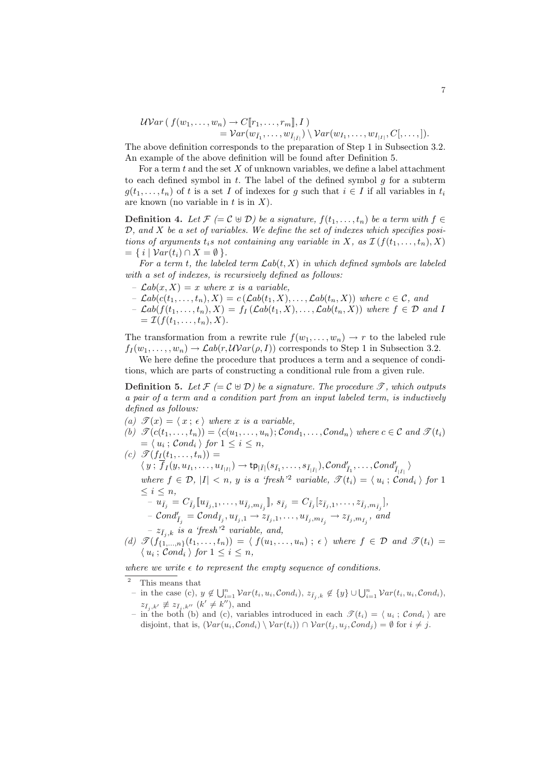$$
\mathcal{W}ar (f(w_1,\ldots,w_n) \to C[\![r_1,\ldots,r_m]\!], I)
$$
  
=  $\mathcal{V}ar(w_{\bar{I}_1},\ldots,w_{\bar{I}_{|\bar{I}|}}) \setminus \mathcal{V}ar(w_{I_1},\ldots,w_{I_{|\bar{I}|}},C[\ldots,]).$ 

The above definition corresponds to the preparation of Step 1 in Subsection 3.2. An example of the above definition will be found after Definition 5.

For a term *t* and the set *X* of unknown variables, we define a label attachment to each defined symbol in *t*. The label of the defined symbol *g* for a subterm  $g(t_1, \ldots, t_n)$  of *t* is a set *I* of indexes for *g* such that  $i \in I$  if all variables in  $t_i$ are known (no variable in *t* is in *X*).

**Definition 4.** Let  $\mathcal{F}$  (=  $\mathcal{C} \oplus \mathcal{D}$ ) be a signature,  $f(t_1, \ldots, t_n)$  be a term with  $f \in$ *D, and X be a set of variables. We define the set of indexes which specifies positions of arguments*  $t_i$ *s not containing any variable in X, as*  $\mathcal{I}(f(t_1, \ldots, t_n), X)$  $= \{ i \mid Var(t_i) \cap X = \emptyset \}.$ 

For a term *t*, the labeled term  $\mathcal{L}ab(t, X)$  in which defined symbols are labeled *with a set of indexes, is recursively defined as follows:*

- $-\mathcal{L}ab(x,X) = x$  where *x* is a variable,
- $-\mathcal{L}ab(c(t_1,\ldots,t_n),X)=c(\mathcal{L}ab(t_1,X),\ldots,\mathcal{L}ab(t_n,X))$  where  $c\in\mathcal{C}$ , and
- $-\mathcal{L}ab(f(t_1,...,t_n),X) = f_I(\mathcal{L}ab(t_1,X),\ldots,\mathcal{L}ab(t_n,X))$  where  $f \in \mathcal{D}$  and I  $= \mathcal{I}(f(t_1, \ldots, t_n), X).$

The transformation from a rewrite rule  $f(w_1, \ldots, w_n) \to r$  to the labeled rule  $f_I(w_1, \ldots, w_n) \to \mathcal{L}ab(r, \mathcal{UV}ar(\rho, I))$  corresponds to Step 1 in Subsection 3.2.

We here define the procedure that produces a term and a sequence of conditions, which are parts of constructing a conditional rule from a given rule.

**Definition 5.** Let  $\mathcal{F}$  (=  $\mathcal{C} \oplus \mathcal{D}$ ) be a signature. The procedure  $\mathcal{T}$ , which outputs *a pair of a term and a condition part from an input labeled term, is inductively defined as follows:*

- *(a)*  $\mathscr{T}(x) = \langle x; \epsilon \rangle$  *where x is a variable,*
- (b)  $\mathscr{T}(c(t_1,\ldots,t_n)) = \langle c(u_1,\ldots,u_n); \mathcal{C} \text{ond}_1,\ldots,\mathcal{C} \text{ond}_n \rangle$  where  $c \in \mathcal{C}$  and  $\mathscr{T}(t_i)$  $=\langle u_i ; \text{Cond}_i \rangle$  for  $1 \leq i \leq n$ ,
- $(c)$   $\mathscr{T}(f_I(t_1,\ldots,t_n)) =$  $\langle y; f_I(y, u_{I_1}, \ldots, u_{I_{|I|}}) \to \text{tp}_{|\bar{I}|}(s_{\bar{I}_1}, \ldots, s_{\bar{I}_{|\bar{I}|}}), \text{Cond}'_{\bar{I}_1}, \ldots, \text{Cond}'_{\bar{I}_{|\bar{I}|}}\rangle$ where  $f \in \mathcal{D}$ ,  $|I| < n$ , y is a 'fresh'<sup>2</sup> variable,  $\mathcal{F}(t_i) = \langle u_i : \mathcal{C} \text{ on } d_i \rangle$  for 1 *≤ i ≤ n,*  $u_{\bar{I}_j} = C_{\bar{I}_j}[\![u_{\bar{I}_j,1},\ldots,u_{\bar{I}_j,m_{\bar{I}_j}}]\!], \, s_{\bar{I}_j} = C_{\bar{I}_j}[z_{\bar{I}_j,1},\ldots,z_{\bar{I}_j,m_{\bar{I}_j}}],$

$$
\begin{array}{ccccccccc}\n a_j & a_{j+1} & a_{j+1} & a_{j+1} & a_{j+1} & a_{j+1} & a_{j+1} & a_{j+1} & a_{j+1} & a_{j+1} \\
 c_{j} & c_{j+1} & c_{j+1} & c_{j+1} & c_{j+1} & a_{j+1} & a_{j+1} & a_{j+1} & a_{j+1} & a_{j+1} & a_{j+1} & a_{j+1} & a_{j+1} & a_{j+1} & a_{j+1} & a_{j+1} & a_{j+1} & a_{j+1} & a_{j+1} & a_{j+1} & a_{j+1} & a_{j+1} & a_{j+1} & a_{j+1} & a_{j+1} & a_{j+1} & a_{j+1} & a_{j+1} & a_{j+1} & a_{j+1} & a_{j+1} & a_{j+1} & a_{j+1} & a_{j+1} & a_{j+1} & a_{j+1} & a_{j+1} & a_{j+1} & a_{j+1} & a_{j+1} & a_{j+1} & a_{j+1} & a_{j+1} & a_{j+1} & a_{j+1} & a_{j+1} & a_{j+1} & a_{j+1} & a_{j+1} & a_{j+1} & a_{j+1} & a_{j+1} & a_{j+1} & a_{j+1} & a_{j+1} & a_{j+1} & a_{j+1} & a_{j+1} & a_{j+1} & a_{j+1} & a_{j+1} & a_{j+1} & a_{j+1} & a_{j+1} & a_{j+1} & a_{j+1} & a_{j+1} & a_{j+1} & a_{j+1} & a_{j+1} & a_{j+1} & a_{j+1} & a_{j+1} & a_{j+1} & a_{j+1} & a_{j+1} & a_{j+1} & a_{j+1} & a_{j+1} & a_{j+1} & a_{j+1} & a_{j+1} & a_{j+1} & a_{j+1} & a_{j+1} & a_{j+1} & a_{j+1} & a_{j+1} & a_{j+1} & a_{j+1} & a_{j+1} & a_{j+1} & a_{j+1} & a_{j+1} & a_{j+1} & a_{j+1} & a_{j+1} & a_{j+1} &
$$

- $\text{Cond}'_{\bar{I}_j} = \text{Cond}_{\bar{I}_j}, u_{\bar{I}_j,1} \to z_{\bar{I}_j,1}, \ldots, u_{\bar{I}_j,m_{\bar{I}_j}} \to z_{\bar{I}_j,m_{\bar{I}_j}},$  and  $z_j$ ,  $z_j$ , *is a 'fresh'* 2 variable, and,
	-
- (d)  $\mathscr{T}(f_{\{1,\ldots,n\}}(t_1,\ldots,t_n)) = \langle f(u_1,\ldots,u_n) ; \epsilon \rangle$  where  $f \in \mathcal{D}$  and  $\mathscr{T}(t_i) =$  $\langle u_i : \mathcal{C} \text{ on } d_i \rangle \text{ for } 1 \leq i \leq n,$

where we write  $\epsilon$  to represent the empty sequence of conditions.

<sup>2</sup> This means that

- in the case (c),  $y \notin \bigcup_{i=1}^n Var(t_i, u_i, Cond_i), z_{\bar{I}_j,k} \notin \{y\} \cup \bigcup_{i=1}^n Var(t_i, u_i, Cond_i),$  $z_{\bar{I}_j,k'} \not\equiv z_{\bar{I}_j,k''}(k' \neq k'')$ , and
- in the both (b) and (c), variables introduced in each  $\mathscr{T}(t_i) = \langle u_i ; \mathcal{C}ond_i \rangle$  are disjoint, that is,  $(Var(u_i, Cond_i) \setminus Var(t_i)) \cap Var(t_i, u_i, Cond_i) = \emptyset$  for  $i \neq j$ .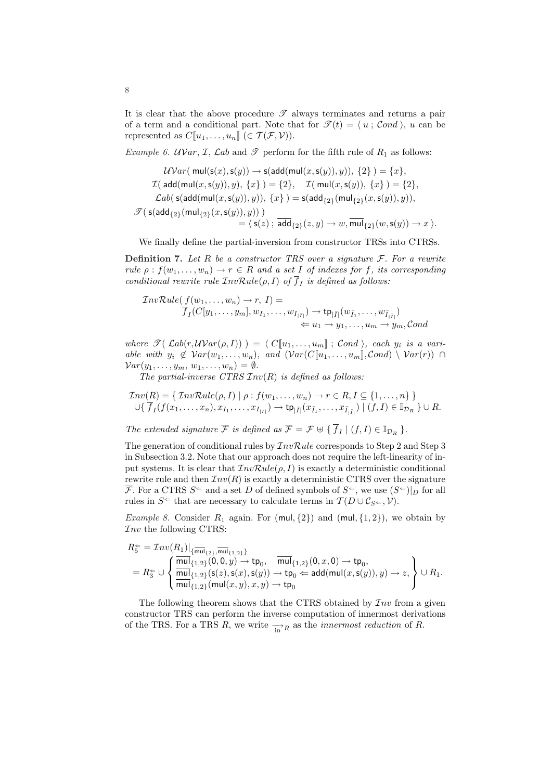It is clear that the above procedure  $\mathscr T$  always terminates and returns a pair of a term and a conditional part. Note that for  $\mathcal{T}(t) = \langle u, \mathcal{C} \text{ on } d \rangle$ , *u* can be represented as  $C[\![u_1, \ldots, u_n]\!]$  ( $\in \mathcal{T}(\mathcal{F}, \mathcal{V})$ ).

*Example 6. UVar*, *I*, *Lab* and *T* perform for the fifth rule of  $R_1$  as follows:

$$
\mathcal{UVar}(\text{mul}(s(x), s(y)) \to s(\text{add}(mul(x, s(y)), y)), \{2\}) = \{x\},
$$
\n
$$
\mathcal{I}(\text{add}(mul(x, s(y)), y), \{x\}) = \{2\}, \quad \mathcal{I}(\text{mul}(x, s(y)), \{x\}) = \{2\},
$$
\n
$$
\mathcal{L}ab(s(\text{add}(mul(x, s(y)), y)), \{x\}) = s(\text{add}_{\{2\}}(\text{mul}_{\{2\}}(x, s(y)), y)),
$$
\n
$$
\mathcal{I}(s(\text{add}_{\{2\}}(\text{mul}_{\{2\}}(x, s(y)), y))) = \langle s(z); \overline{\text{add}}_{\{2\}}(z, y) \to w, \overline{\text{mul}}_{\{2\}}(w, s(y)) \to x \rangle.
$$

We finally define the partial-inversion from constructor TRSs into CTRSs.

**Definition 7.** Let  $R$  be a constructor TRS over a signature  $F$ . For a rewrite *rule*  $\rho$  :  $f(w_1, \ldots, w_n) \to r \in R$  *and a set I of indexes for f, its corresponding conditional rewrite rule*  $InvRule(\rho, I)$  *of*  $f_I$  *is defined as follows:* 

$$
\mathcal{I}nvRule(f(w_1, ..., w_n) \to r, I) =
$$
  
\n
$$
\overline{f}_I(C[y_1, ..., y_m], w_{I_1}, ..., w_{I_{|\overline{I}|}}) \to \text{tp}_{|\overline{I}|}(w_{\overline{I}_1}, ..., w_{\overline{I}_{|\overline{I}|}})
$$
  
\n
$$
\Leftarrow u_1 \to y_1, ..., u_m \to y_m, \text{Cond}
$$

*where*  $\mathscr{T}(\text{Lab}(r, \mathcal{W} \text{Var}(p, I))) = \langle C[[u_1, \ldots, u_m]]$ ; Cond), each  $y_i$  is a variable with  $y_i \notin Var(w_1,...,w_n)$ , and  $(Var(C[\![u_1,...,u_m]\!],\mathcal{C}ond) \setminus Var(r)) \cap$  $Var(y_1, \ldots, y_m, w_1, \ldots, w_n) = \emptyset.$ 

*The partial-inverse CTRS Inv*(*R*) *is defined as follows:*

$$
\mathcal{I}nv(R) = \{ \mathcal{I}nvRule(\rho, I) \mid \rho : f(w_1, \ldots, w_n) \to r \in R, I \subseteq \{1, \ldots, n\} \}
$$
  

$$
\cup \{ \overline{f}_I(f(x_1, \ldots, x_n), x_{I_1}, \ldots, x_{I_{|I|}}) \to \mathbf{tp}_{|\overline{I}|}(x_{\overline{I}_1}, \ldots, x_{\overline{I}_{|\overline{I}|}}) \mid (f, I) \in \mathbb{I}_{\mathcal{D}_R} \} \cup R.
$$

*The extended signature*  $\mathcal{F}$  *is defined as*  $\mathcal{F} = \mathcal{F} \oplus \{ f_I | (f, I) \in \mathbb{I}_{\mathcal{D}_R} \}$ .

The generation of conditional rules by *InvRule* corresponds to Step 2 and Step 3 in Subsection 3.2. Note that our approach does not require the left-linearity of input systems. It is clear that  $InvRule(\rho, I)$  is exactly a deterministic conditional rewrite rule and then  $Inv(R)$  is exactly a deterministic CTRS over the signature *F*. For a CTRS  $S^{\Leftarrow}$  and a set *D* of defined symbols of  $S^{\Leftarrow}$ , we use  $(S^{\Leftarrow})|_D$  for all rules in  $S^{\Leftarrow}$  that are necessary to calculate terms in  $\mathcal{T}(D \cup C_{S^{\Leftarrow}}, \mathcal{V})$ .

*Example 8.* Consider  $R_1$  again. For  $(\text{mul}, \{2\})$  and  $(\text{mul}, \{1, 2\})$ , we obtain by *Inv* the following CTRS:

$$
R_5^{\Leftarrow} = \mathcal{I}nv(R_1)|_{\{\overline{\text{mul}}_{\{2\}}, \overline{\text{mul}}_{\{1,2\}}\}}\n= R_3^{\Leftarrow} \cup \left\{\n\begin{array}{l}\n\overline{\text{mul}}_{\{1,2\}}(0, 0, y) \rightarrow \text{tp}_0, & \overline{\text{mul}}_{\{1,2\}}(0, x, 0) \rightarrow \text{tp}_0, \\
\overline{\text{mul}}_{\{1,2\}}(s(z), s(x), s(y)) \rightarrow \text{tp}_0 \leftarrow \text{add}(\text{mul}(x, s(y)), y) \rightarrow z, \\
\overline{\text{mul}}_{\{1,2\}}(\text{mul}(x, y), x, y) \rightarrow \text{tp}_0\n\end{array}\n\right\} \cup R_1.
$$

The following theorem shows that the CTRS obtained by *Inv* from a given constructor TRS can perform the inverse computation of innermost derivations of the TRS. For a TRS *R*, we write  $\rightarrow$ <sub>in</sub> *R* as the *innermost reduction* of *R*.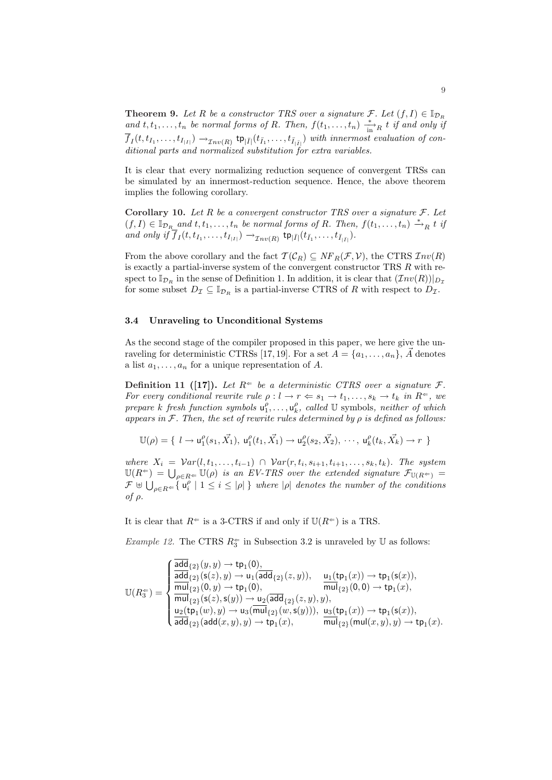**Theorem 9.** Let R be a constructor TRS over a signature  $\mathcal{F}$ . Let  $(f, I) \in \mathbb{I}_{\mathcal{D}_R}$ *and*  $t, t_1, \ldots, t_n$  *be normal forms of*  $R$ *. Then,*  $f(t_1, \ldots, t_n) \stackrel{*}{\longrightarrow} R$  *t if and only if*  $f_I(t, t_{I_1},..., t_{I_{|I|}}) \rightarrow_{\mathcal{I}nv(R)}$  to  $\mathfrak{p}_{|\bar{I}|}(t_{\bar{I}_1},..., t_{\bar{I}_{|\bar{I}|}})$  with innermost evaluation of con*ditional parts and normalized substitution for extra variables.*

It is clear that every normalizing reduction sequence of convergent TRSs can be simulated by an innermost-reduction sequence. Hence, the above theorem implies the following corollary.

**Corollary 10.** Let  $R$  be a convergent constructor TRS over a signature  $F$ . Let  $(f, I) \in \mathbb{I}_{\mathcal{D}_R}$  and  $t, t_1, \ldots, t_n$  be normal forms of R. Then,  $f(t_1, \ldots, t_n) \xrightarrow{\ast} R t$  is and only if  $f_I(t,t_{I_1},\ldots,t_{I_{|I|}}) \rightarrow_{\mathcal{I}nv(R)} \text{tp}_{|\bar{I}|}(t_{\bar{I}_1},\ldots,t_{\bar{I}_{|\bar{I}|}}).$ 

From the above corollary and the fact  $\mathcal{T}(\mathcal{C}_R) \subseteq NF_R(\mathcal{F}, \mathcal{V})$ , the CTRS  $\mathcal{I}nv(R)$ is exactly a partial-inverse system of the convergent constructor TRS *R* with respect to  $\mathbb{I}_{\mathcal{D}_R}$  in the sense of Definition 1. In addition, it is clear that  $(\mathcal{I}_{\mathcal{D}_R}(R))|_{D_{\tau}}$ for some subset  $D_{\mathcal{I}} \subseteq \mathbb{I}_{\mathcal{D}_R}$  is a partial-inverse CTRS of *R* with respect to  $D_{\mathcal{I}}$ .

### **3.4 Unraveling to Unconditional Systems**

As the second stage of the compiler proposed in this paper, we here give the unraveling for deterministic CTRSs [17, 19]. For a set  $A = \{a_1, \ldots, a_n\}$ , *A* denotes a list  $a_1, \ldots, a_n$  for a unique representation of A.

**Definition 11** ([17]). Let  $R^{\infty}$  be a deterministic CTRS over a signature  $\mathcal{F}$ . *For every conditional rewrite rule*  $\rho: l \to r \Leftarrow s_1 \to t_1, \ldots, s_k \to t_k$  *in*  $R^{\Leftarrow}$ *, we prepare k fresh function symbols*  $u_1^{\rho}, \ldots, u_k^{\rho}$ , called U symbols, neither of which *appears in F. Then, the set of rewrite rules determined by ρ is defined as follows:*

$$
\mathbb{U}(\rho) = \{ \ l \to \mathsf{u}_1^{\rho}(s_1, \vec{X_1}), \ \mathsf{u}_1^{\rho}(t_1, \vec{X_1}) \to \mathsf{u}_2^{\rho}(s_2, \vec{X_2}), \ \cdots, \ \mathsf{u}_k^{\rho}(t_k, \vec{X_k}) \to r \ \}
$$

where  $X_i = Var(l, t_1, \ldots, t_{i-1}) \cap Var(r, t_i, s_{i+1}, t_{i+1}, \ldots, s_k, t_k)$ . The system  $U(R^{\Leftarrow}) = \bigcup_{\rho \in R^{\Leftarrow}} U(\rho)$  *is an EV-TRS over the extended signature*  $\mathcal{F}_{U(R^{\Leftarrow})} =$  $\mathcal{F} \oplus \bigcup_{\rho \in R^{\infty}} {\{\tilde{u}_{i}^{\rho} \mid 1 \leq i \leq |\rho| \}}$  *where*  $|\rho|$  *denotes the number of the conditions of ρ.*

It is clear that  $R^{\Leftarrow}$  is a 3-CTRS if and only if  $U(R^{\Leftarrow})$  is a TRS.

*Example 12.* The CTRS  $R_3^{\Leftarrow}$  in Subsection 3.2 is unraveled by U as follows:

$$
\mathbb{U}(R_3^{\Leftarrow}) = \begin{cases} \frac{\overline{\mathrm{add}}_{\{2\}}(y,y) \to \mathrm{tp}_1(0),}{\overline{\mathrm{add}}_{\{2\}}(\mathrm{s}(z),y) \to \mathrm{u}_1(\mathrm{add}_{\{2\}}(z,y)),} & \frac{\mathrm{u}_1(\mathrm{tp}_1(x)) \to \mathrm{tp}_1(\mathrm{s}(x)),}{\mathrm{mul}_{\{2\}}(0,0) \to \mathrm{tp}_1(x)}, \\ \frac{\overline{\mathrm{mul}}_{\{2\}}(0,y) \to \mathrm{tp}_1(0),}{\mathrm{mul}_{\{2\}}(\mathrm{s}(z),\mathrm{s}(y)) \to \mathrm{u}_2(\overline{\mathrm{add}}_{\{2\}}(z,y),y)}, \\ \frac{\mathrm{u}_2(\mathrm{tp}_1(w),y) \to \mathrm{u}_3(\overline{\mathrm{mul}}_{\{2\}}(w,\mathrm{s}(y))),}{\mathrm{add}_{\{2\}}(\mathrm{mul}(x,y),y) \to \mathrm{tp}_1(\mathrm{s}(x)) \to \mathrm{tp}_1(\mathrm{s}(x)),} \\ \frac{\mathrm{u}_3(\mathrm{tp}_1(x)) \to \mathrm{tp}_1(\mathrm{s}(x)),}{\mathrm{mul}_{\{2\}}(\mathrm{mul}(x,y),y) \to \mathrm{tp}_1(x)}. \end{cases}
$$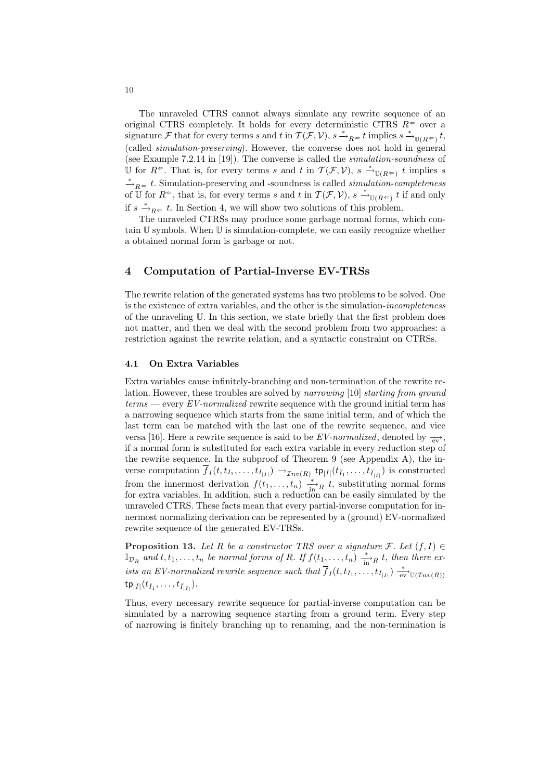The unraveled CTRS cannot always simulate any rewrite sequence of an original CTRS completely. It holds for every deterministic CTRS  $R^{\Leftarrow}$  over a  $\sup_{x \to R} \text{arg} \, f(x) = \sup_{x \to R} f(x) + \sup_{x \to R} f(x) + \sup_{x \to R} f(x) = \sup_{x \to R} f(x) + \sup_{x \to R} f(x) + \sup_{x \to R} f(x)$ (called *simulation-preserving*). However, the converse does not hold in general (see Example 7.2.14 in [19]). The converse is called the *simulation-soundness* of U for  $R^{\Leftarrow}$ . That is, for every terms *s* and *t* in  $\mathcal{T}(\mathcal{F}, \mathcal{V})$ ,  $s \xrightarrow{\ast}$ <sub>U( $R^{\Leftarrow}$ )</sub> *t* implies *s <sup>∗</sup>−→<sup>R</sup>⇐ t*. Simulation-preserving and -soundness is called *simulation-completeness* of U for  $R^{\Leftarrow}$ , that is, for every terms *s* and *t* in  $\mathcal{T}(\mathcal{F}, \mathcal{V})$ ,  $s \xrightarrow{\ast} \mathbb{U}(R^{\Leftarrow}) t$  if and only if  $s \stackrel{*}{\rightarrow} R \in t$ . In Section 4, we will show two solutions of this problem.

The unraveled CTRSs may produce some garbage normal forms, which contain U symbols. When U is simulation-complete, we can easily recognize whether a obtained normal form is garbage or not.

## **4 Computation of Partial-Inverse EV-TRSs**

The rewrite relation of the generated systems has two problems to be solved. One is the existence of extra variables, and the other is the simulation-*incompleteness* of the unraveling U. In this section, we state briefly that the first problem does not matter, and then we deal with the second problem from two approaches: a restriction against the rewrite relation, and a syntactic constraint on CTRSs.

#### **4.1 On Extra Variables**

Extra variables cause infinitely-branching and non-termination of the rewrite relation. However, these troubles are solved by *narrowing* [10] *starting from ground terms* — every *EV-normalized* rewrite sequence with the ground initial term has a narrowing sequence which starts from the same initial term, and of which the last term can be matched with the last one of the rewrite sequence, and vice versa [16]. Here a rewrite sequence is said to be *EV-normalized*, denoted by *−→*ev , if a normal form is substituted for each extra variable in every reduction step of the rewrite sequence. In the subproof of Theorem 9 (see Appendix A), the inverse computation  $f_I(t, t_{I_1},..., t_{I_{|I|}}) \to_{\mathcal{I}_{\mathcal{H}}v(R)} \text{tp}_{|\bar{I}|}(t_{\bar{I}_1},..., t_{\bar{I}_{|\bar{I}|}})$  is constructed from the innermost derivation  $f(t_1, \ldots, t_n) \stackrel{*}{\longrightarrow}_R t$ , substituting normal forms for extra variables. In addition, such a reduction can be easily simulated by the unraveled CTRS. These facts mean that every partial-inverse computation for innermost normalizing derivation can be represented by a (ground) EV-normalized rewrite sequence of the generated EV-TRSs.

**Proposition 13.** *Let*  $R$  *be a constructor TRS over a signature*  $\mathcal{F}$ *. Let*  $(f, I) \in$  $\mathbb{I}_{\mathcal{D}_R}$  and  $t, t_1, \ldots, t_n$  be normal forms of R. If  $f(t_1, \ldots, t_n) \stackrel{*}{\underset{\text{in}}{\longrightarrow}} R$  *t*, then there ex*ists an EV-normalized rewrite sequence such that*  $\overline{f}_I(t,t_{I_1},\ldots,t_{I_{|I|}}) \xrightarrow[\text{ev}]{*} \mathbb{U}(\mathcal{I}_{nv(R)})$  $\tan \frac{t}{\bar{I}}$ 

Thus, every necessary rewrite sequence for partial-inverse computation can be simulated by a narrowing sequence starting from a ground term. Every step of narrowing is finitely branching up to renaming, and the non-termination is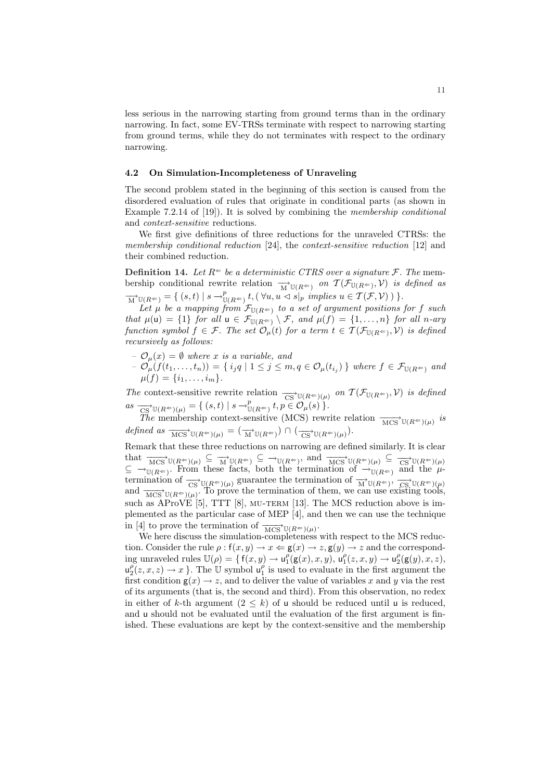less serious in the narrowing starting from ground terms than in the ordinary narrowing. In fact, some EV-TRSs terminate with respect to narrowing starting from ground terms, while they do not terminates with respect to the ordinary narrowing.

#### **4.2 On Simulation-Incompleteness of Unraveling**

The second problem stated in the beginning of this section is caused from the disordered evaluation of rules that originate in conditional parts (as shown in Example 7.2.14 of [19]). It is solved by combining the *membership conditional* and *context-sensitive* reductions.

We first give definitions of three reductions for the unraveled CTRSs: the *membership conditional reduction* [24], the *context-sensitive reduction* [12] and their combined reduction.

**Definition 14.** Let  $R^{\Leftarrow}$  be a deterministic CTRS over a signature  $\mathcal{F}$ . The mem- $\phi$  bership conditional rewrite relation  $\overrightarrow{M}$ <sub>U( $R \in$ </sub>) *on*  $\mathcal{T}(\mathcal{F}_{\mathbb{U}(R^{\Leftarrow})}, V)$  *is defined as*  $\overrightarrow{M}$ <sup>U(*R*<sup> $\Leftarrow$ </sup>) = { (*s, t*) | *s*  $\rightarrow$ <sup>*p*</sup><sub>U</sub></sup>  $\mathbb{U}_{(R^{\Leftarrow})}$ *t*,  $(\forall u, u \triangleleft s |_{p}$  *implies*  $u \in \mathcal{T}(\mathcal{F}, \mathcal{V})$   $)$   $\}.$ 

Let  $\mu$  be a mapping from  $\mathcal{F}_{\mathbb{U}(R^{\Leftarrow})}$  to a set of argument positions for f such *that*  $\mu(u) = \{1\}$  *for all*  $u \in \mathcal{F}_{\mathbb{U}(R^{\Leftarrow})} \setminus \mathcal{F}$ *, and*  $\mu(f) = \{1, \ldots, n\}$  *for all n-ary*  $f$ unction symbol  $f \in \mathcal{F}$ . The set  $\mathcal{O}_{\mu}(t)$  for a term  $t \in \mathcal{T}(\mathcal{F}_{\mathbb{U}(R^{\Leftarrow})}, \mathcal{V})$  is defined *recursively as follows:*

- $-\mathcal{O}_{\mu}(x) = \emptyset$  *where x is a variable, and*
- $\mathcal{O}_{\mu}(f(t_1,...,t_n)) = \{ i_j q \mid 1 \leq j \leq m, q \in \mathcal{O}_{\mu}(t_{i_j}) \}$  where  $f \in \mathcal{F}_{\mathbb{U}(R^{\Leftarrow})}$  and  $\mu(f) = \{i_1, \ldots, i_m\}$

*The* context-sensitive rewrite relation  $\frac{1}{\text{CS}^{\text{v}}}\mathbb{U}(R^{\Leftarrow})(\mu)$  *on*  $\mathcal{T}(\mathcal{F}_{\mathbb{U}(R^{\Leftarrow})}, \mathcal{V})$  *is defined*  $as \frac{1}{\cos^2 \mathbb{U}(R^{\Leftarrow})(\mu)} = \{ (s, t) | s \rightarrow^p_{\mathbb{U}} \}$  $_{\mathbb{U}(R^{\Leftarrow})}^{p}$   $t, p \in \mathcal{O}_{\mu}(s)$   $\}.$ 

*The* membership context-sensitive (MCS) rewrite relation  $\frac{1}{MCS} U(R^{\Leftarrow})(\mu)$  is  $defined \text{ as } \frac{1}{MCS} \mathbb{U}(R^{\Leftarrow})(\mu) = (\frac{1}{M} \mathbb{U}(R^{\Leftarrow})) \cap (\frac{1}{CS} \mathbb{U}(R^{\Leftarrow})(\mu)).$ 

Remark that these three reductions on narrowing are defined similarly. It is clear that  $\overrightarrow{\text{MCS}}\mathbb{U}(R^{\Leftarrow})(\mu) \subseteq \overrightarrow{\text{M}}\mathbb{U}(R^{\Leftarrow}) \subseteq \rightarrow \mathbb{U}(R^{\Leftarrow})$ , and  $\overrightarrow{\text{MCS}}\mathbb{U}(R^{\Leftarrow})(\mu) \subseteq \overrightarrow{\text{CS}}\mathbb{U}(R^{\Leftarrow})(\mu)$ *⊆ −→*U(*R⇐*) . From these facts, both the termination of *−→*U(*R⇐*) and the *µ*termination of  $\frac{1}{\text{CS}^2} \mathbb{U}(R^{\Leftarrow})(\mu)$  guarantee the termination of  $\frac{1}{\text{M}} \mathbb{U}(R^{\Leftarrow})$ ,  $\frac{1}{\text{CS}^2} \mathbb{U}(R^{\Leftarrow})(\mu)$ and  $\frac{1}{\text{MCS}^2}\mathbb{U}(R^{\Leftarrow})(\mu)$ . To prove the termination of them, we can use existing tools, such as  $AProvE$  [5], TTT [8], MU-TERM [13]. The MCS reduction above is implemented as the particular case of MEP [4], and then we can use the technique in [4] to prove the termination of  $\frac{}{\text{MCS}}$  ∪(*R*∈)(*µ*).

We here discuss the simulation-completeness with respect to the MCS reduction. Consider the rule  $\rho$  :  $f(x, y) \to x \Leftarrow g(x) \to z$ ,  $g(y) \to z$  and the corresponding unraveled rules  $\mathbb{U}(\rho) = \{ f(x, y) \to u_1^{\rho}(\mathbf{g}(x), x, y), u_1^{\rho}(z, x, y) \to u_2^{\rho}(\mathbf{g}(y), x, z),$  $\mu_2^{\rho}(z, x, z) \to x$  }. The U symbol  $\mu_1^{\rho}$  is used to evaluate in the first argument the first condition  $g(x) \rightarrow z$ , and to deliver the value of variables x and y via the rest of its arguments (that is, the second and third). From this observation, no redex in either of *k*-th argument  $(2 \leq k)$  of u should be reduced until u is reduced, and u should not be evaluated until the evaluation of the first argument is finished. These evaluations are kept by the context-sensitive and the membership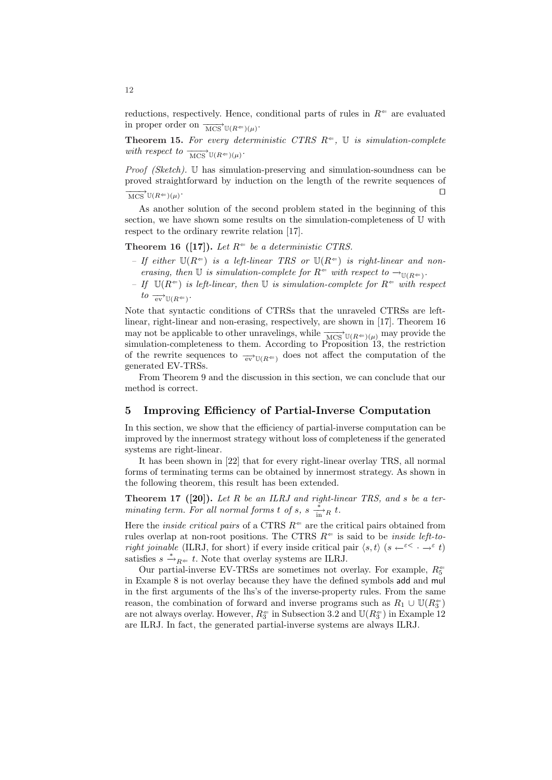reductions, respectively. Hence, conditional parts of rules in  $R^{\neq}$  are evaluated in proper order on  $\frac{ }{ \text{MCS} } \mathbb{U}(R^{\Leftarrow})(\mu)$ .

**Theorem 15.** For every deterministic CTRS  $R^{\Leftarrow}$ ,  $\mathbb{U}$  is simulation-complete *with respect to*  $\overrightarrow{MCS}$   $\mathbb{U}(R^{\Leftarrow})(\mu)$ .

*Proof (Sketch).* U has simulation-preserving and simulation-soundness can be proved straightforward by induction on the length of the rewrite sequences of  $\overrightarrow{MCS}$   $\mathbb{U}(R^{\Leftarrow})(\mu)$ . *ut*

As another solution of the second problem stated in the beginning of this section, we have shown some results on the simulation-completeness of U with respect to the ordinary rewrite relation [17].

#### **Theorem 16** ([17]). Let  $R^{\Leftarrow}$  be a deterministic CTRS.

- *–* If either  $U(R^{\Leftarrow})$  is a left-linear TRS or  $U(R^{\Leftarrow})$  is right-linear and non*erasing, then*  $\mathbb U$  *is simulation-complete for*  $R^{\Leftarrow}$  *with respect to*  $\rightarrow_{\mathbb U(R^{\Leftarrow})}$ *.*
- *–* If  $\mathbb{U}(R^{\Leftarrow})$  *is left-linear, then*  $\mathbb{U}$  *is simulation-complete for*  $R^{\Leftarrow}$  *with respect*  $to$   $\overrightarrow{ev}$   $\mathbb{U}(R^{\Leftarrow})$ .

Note that syntactic conditions of CTRSs that the unraveled CTRSs are leftlinear, right-linear and non-erasing, respectively, are shown in [17]. Theorem 16 may not be applicable to other unravelings, while  $\frac{1}{\sqrt{MCS}}$  U( $R \in \mathcal{P}(\mu)$ ) may provide the simulation-completeness to them. According to Proposition 13, the restriction of the rewrite sequences to *−→*ev <sup>U</sup>(*R⇐*) does not affect the computation of the generated EV-TRSs.

From Theorem 9 and the discussion in this section, we can conclude that our method is correct.

### **5 Improving Efficiency of Partial-Inverse Computation**

In this section, we show that the efficiency of partial-inverse computation can be improved by the innermost strategy without loss of completeness if the generated systems are right-linear.

It has been shown in [22] that for every right-linear overlay TRS, all normal forms of terminating terms can be obtained by innermost strategy. As shown in the following theorem, this result has been extended.

**Theorem 17 ([20]).** *Let R be an ILRJ and right-linear TRS, and s be a terminating term. For all normal forms t of s*,  $s \frac{*}{\ln} R$  *t.* 

Here the *inside critical pairs* of a CTRS  $R^{\infty}$  are the critical pairs obtained from rules overlap at non-root positions. The CTRS  $R^{\Leftarrow}$  is said to be *inside left-toright joinable* (ILRJ, for short) if every inside critical pair  $\langle s, t \rangle$  ( $s \leftarrow^{\varepsilon \langle \cdot \cdot \cdot \rangle} \rightarrow^{\varepsilon} t$ ) satisfies  $s \stackrel{*}{\rightarrow}_{R \leftarrow} t$ . Note that overlay systems are ILRJ.

Our partial-inverse EV-TRSs are sometimes not overlay. For example, *R⇐* 5 in Example 8 is not overlay because they have the defined symbols add and mul in the first arguments of the lhs's of the inverse-property rules. From the same reason, the combination of forward and inverse programs such as  $R_1 \cup \mathbb{U}(R_3^{\Leftarrow})$ are not always overlay. However,  $R_3^{\Leftarrow}$  in Subsection 3.2 and  $\mathbb{U}(R_3^{\Leftarrow})$  in Example 12 are ILRJ. In fact, the generated partial-inverse systems are always ILRJ.

12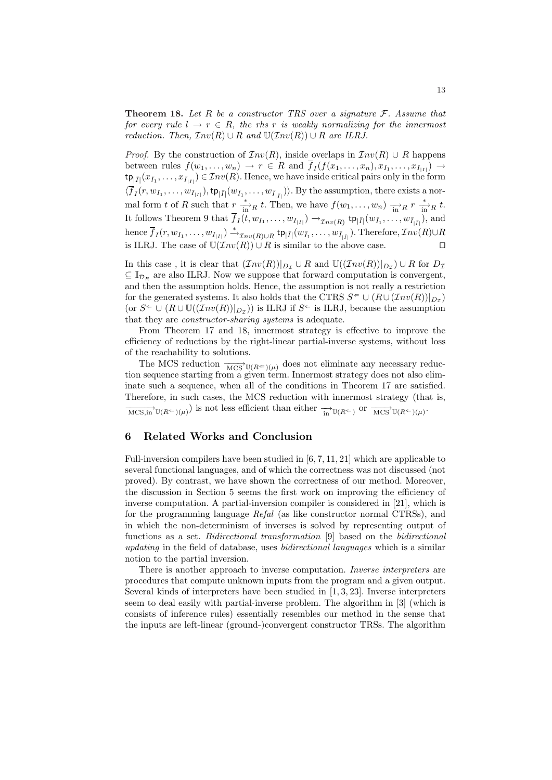**Theorem 18.** *Let R be a constructor TRS over a signature F. Assume that for every rule*  $l \rightarrow r \in R$ *, the rhs r is weakly normalizing for the innermost reduction. Then,*  $Inv(R) \cup R$  *and*  $U(Inv(R)) \cup R$  *are ILRJ.* 

*Proof.* By the construction of  $Inv(R)$ , inside overlaps in  $Inv(R) \cup R$  happens between rules  $f(w_1, \ldots, w_n) \to r \in R$  and  $f_I(f(x_1, \ldots, x_n), x_{I_1}, \ldots, x_{I_{|I|}}) \to$  $\mathsf{tp}_{|\bar{I}|}(x_{\bar{I}_1}, \ldots, x_{\bar{I}_{|\bar{I}|}}) \in \mathcal{I}nv(R)$ . Hence, we have inside critical pairs only in the form  $\langle f_I(r, w_{I_1}, \ldots, w_{I_{|I|}}), \text{tp}_{|\bar{I}|}(w_{\bar{I}_1}, \ldots, w_{\bar{I}_{|\bar{I}|}})\rangle$ . By the assumption, there exists a normal form *t* of *R* such that  $r \frac{*}{\ln R} t$ . Then, we have  $f(w_1, \ldots, w_n) \xrightarrow[\text{in } R]{} n \frac{*}{\ln R} t$ . It follows Theorem 9 that  $f_I(t, w_{I_1}, \ldots, w_{I_{|I|}}) \to_{\mathcal{I}nv(R)} \text{tp}_{|\bar{I}|}(w_{\bar{I}_1}, \ldots, w_{\bar{I}_{|\bar{I}|}})$ , and hence  $\overline{f}_I(r, w_{I_1}, \ldots, w_{I_{|I|}}) \xrightarrow{\ast} _{\mathcal{I}nv(R)\cup R} \mathsf{tp}_{|\bar{I}|}(w_{\bar{I}_1}, \ldots, w_{\bar{I}_{|\bar{I}|}}).$  Therefore,  $\mathcal{I}nv(R)\cup R$ is ILRJ. The case of  $\mathbb{U}(\mathcal{I}nv(R)) \cup R$  is similar to the above case.  $□$ 

In this case, it is clear that  $(\mathcal{I}nv(R))|_{D_{\mathcal{I}}}\cup R$  and  $\mathbb{U}((\mathcal{I}nv(R))|_{D_{\mathcal{I}}})\cup R$  for  $D_{\mathcal{I}}$ *⊆* I*<sup>D</sup><sup>R</sup>* are also ILRJ. Now we suppose that forward computation is convergent, and then the assumption holds. Hence, the assumption is not really a restriction for the generated systems. It also holds that the CTRS  $S^{\Leftarrow} \cup (R \cup (Inv(R))|_{D_{\mathcal{I}}})$ (or  $S^$  *∪* ( $R$  *∪*  $\mathbb{U}((Inv(R))|_{D_{\mathcal{I}}})$ ) is ILRJ if  $S^$  is ILRJ, because the assumption that they are *constructor-sharing systems* is adequate.

From Theorem 17 and 18, innermost strategy is effective to improve the efficiency of reductions by the right-linear partial-inverse systems, without loss of the reachability to solutions.

The MCS reduction  $\frac{1}{MCS}$  U( $R \in$ )( $\mu$ ) does not eliminate any necessary reduction sequence starting from a given term. Innermost strategy does not also eliminate such a sequence, when all of the conditions in Theorem 17 are satisfied. Therefore, in such cases, the MCS reduction with innermost strategy (that is,  $\frac{1}{\sqrt{MCS}}$ , in U(*R*<sup> $\epsilon$ </sup>)(*µ*) is not less efficient than either  $\frac{1}{\sqrt{MCS}}$  U(*R*<sup> $\epsilon$ </sup>)(*R*<sup> $\epsilon$ </sup>)(*µ*)

## **6 Related Works and Conclusion**

Full-inversion compilers have been studied in [6, 7, 11, 21] which are applicable to several functional languages, and of which the correctness was not discussed (not proved). By contrast, we have shown the correctness of our method. Moreover, the discussion in Section 5 seems the first work on improving the efficiency of inverse computation. A partial-inversion compiler is considered in [21], which is for the programming language *Refal* (as like constructor normal CTRSs), and in which the non-determinism of inverses is solved by representing output of functions as a set. *Bidirectional transformation* [9] based on the *bidirectional updating* in the field of database, uses *bidirectional languages* which is a similar notion to the partial inversion.

There is another approach to inverse computation. *Inverse interpreters* are procedures that compute unknown inputs from the program and a given output. Several kinds of interpreters have been studied in [1, 3, 23]. Inverse interpreters seem to deal easily with partial-inverse problem. The algorithm in [3] (which is consists of inference rules) essentially resembles our method in the sense that the inputs are left-linear (ground-)convergent constructor TRSs. The algorithm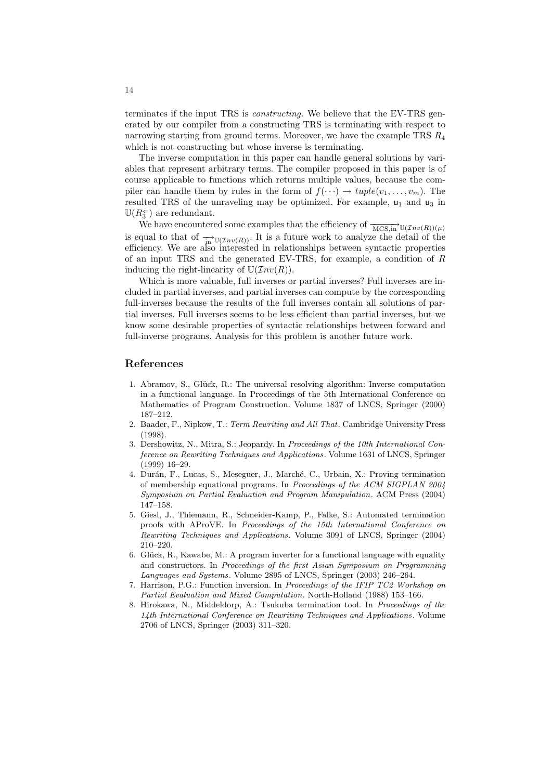terminates if the input TRS is *constructing*. We believe that the EV-TRS generated by our compiler from a constructing TRS is terminating with respect to narrowing starting from ground terms. Moreover, we have the example TRS *R*<sup>4</sup> which is not constructing but whose inverse is terminating.

The inverse computation in this paper can handle general solutions by variables that represent arbitrary terms. The compiler proposed in this paper is of course applicable to functions which returns multiple values, because the compiler can handle them by rules in the form of  $f(\cdots) \to tuple(v_1, \ldots, v_m)$ . The resulted TRS of the unraveling may be optimized. For example,  $u_1$  and  $u_3$  in  $\mathbb{U}(R_3^{\Leftarrow})$  are redundant.

U<sub>3</sub> T are recountered some examples that the efficiency of  $\frac{1}{MCS, \text{in}} U(\text{Inv}(R))(\mu)$ is equal to that of  $\frac{1}{\ln \mathbb{U}(\mathcal{I}_{nv}(R))}$ . It is a future work to analyze the detail of the efficiency. We are also interested in relationships between syntactic properties of an input TRS and the generated EV-TRS, for example, a condition of *R* inducing the right-linearity of  $U(\mathcal{I}nv(R))$ .

Which is more valuable, full inverses or partial inverses? Full inverses are included in partial inverses, and partial inverses can compute by the corresponding full-inverses because the results of the full inverses contain all solutions of partial inverses. Full inverses seems to be less efficient than partial inverses, but we know some desirable properties of syntactic relationships between forward and full-inverse programs. Analysis for this problem is another future work.

#### **References**

- 1. Abramov, S., Glück, R.: The universal resolving algorithm: Inverse computation in a functional language. In Proceedings of the 5th International Conference on Mathematics of Program Construction. Volume 1837 of LNCS, Springer (2000) 187–212.
- 2. Baader, F., Nipkow, T.: *Term Rewriting and All That*. Cambridge University Press (1998).
- 3. Dershowitz, N., Mitra, S.: Jeopardy. In *Proceedings of the 10th International Conference on Rewriting Techniques and Applications*. Volume 1631 of LNCS, Springer (1999) 16–29.
- 4. Durán, F., Lucas, S., Meseguer, J., Marché, C., Urbain, X.: Proving termination of membership equational programs. In *Proceedings of the ACM SIGPLAN 2004 Symposium on Partial Evaluation and Program Manipulation*. ACM Press (2004) 147–158.
- 5. Giesl, J., Thiemann, R., Schneider-Kamp, P., Falke, S.: Automated termination proofs with AProVE. In *Proceedings of the 15th International Conference on Rewriting Techniques and Applications*. Volume 3091 of LNCS, Springer (2004) 210–220.
- 6. Glück, R., Kawabe, M.: A program inverter for a functional language with equality and constructors. In *Proceedings of the first Asian Symposium on Programming Languages and Systems*. Volume 2895 of LNCS, Springer (2003) 246–264.
- 7. Harrison, P.G.: Function inversion. In *Proceedings of the IFIP TC2 Workshop on Partial Evaluation and Mixed Computation*. North-Holland (1988) 153–166.
- 8. Hirokawa, N., Middeldorp, A.: Tsukuba termination tool. In *Proceedings of the 14th International Conference on Rewriting Techniques and Applications*. Volume 2706 of LNCS, Springer (2003) 311–320.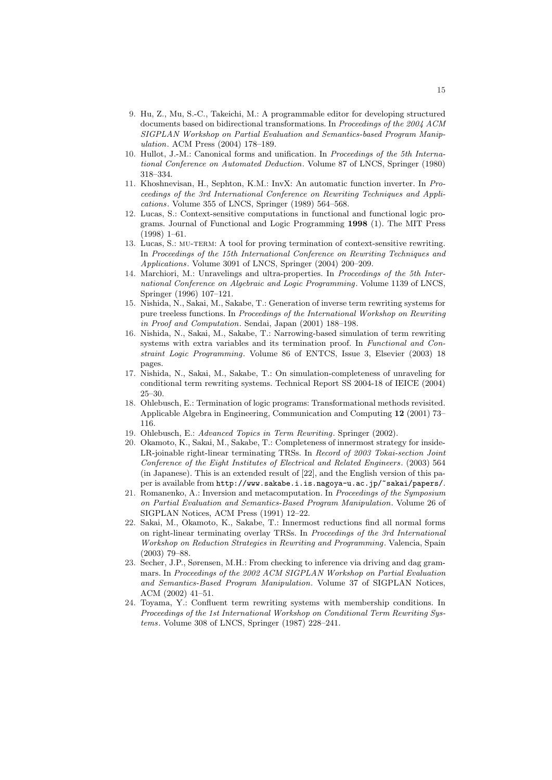- 9. Hu, Z., Mu, S.-C., Takeichi, M.: A programmable editor for developing structured documents based on bidirectional transformations. In *Proceedings of the 2004 ACM SIGPLAN Workshop on Partial Evaluation and Semantics-based Program Manipulation*. ACM Press (2004) 178–189.
- 10. Hullot, J.-M.: Canonical forms and unification. In *Proceedings of the 5th International Conference on Automated Deduction*. Volume 87 of LNCS, Springer (1980) 318–334.
- 11. Khoshnevisan, H., Sephton, K.M.: InvX: An automatic function inverter. In *Proceedings of the 3rd International Conference on Rewriting Techniques and Applications*. Volume 355 of LNCS, Springer (1989) 564–568.
- 12. Lucas, S.: Context-sensitive computations in functional and functional logic programs. Journal of Functional and Logic Programming **1998** (1). The MIT Press (1998) 1–61.
- 13. Lucas, S.: mu-term: A tool for proving termination of context-sensitive rewriting. In *Proceedings of the 15th International Conference on Rewriting Techniques and Applications*. Volume 3091 of LNCS, Springer (2004) 200–209.
- 14. Marchiori, M.: Unravelings and ultra-properties. In *Proceedings of the 5th International Conference on Algebraic and Logic Programming*. Volume 1139 of LNCS, Springer (1996) 107–121.
- 15. Nishida, N., Sakai, M., Sakabe, T.: Generation of inverse term rewriting systems for pure treeless functions. In *Proceedings of the International Workshop on Rewriting in Proof and Computation*. Sendai, Japan (2001) 188–198.
- 16. Nishida, N., Sakai, M., Sakabe, T.: Narrowing-based simulation of term rewriting systems with extra variables and its termination proof. In *Functional and Constraint Logic Programming*. Volume 86 of ENTCS, Issue 3, Elsevier (2003) 18 pages.
- 17. Nishida, N., Sakai, M., Sakabe, T.: On simulation-completeness of unraveling for conditional term rewriting systems. Technical Report SS 2004-18 of IEICE (2004) 25–30.
- 18. Ohlebusch, E.: Termination of logic programs: Transformational methods revisited. Applicable Algebra in Engineering, Communication and Computing **12** (2001) 73– 116.
- 19. Ohlebusch, E.: *Advanced Topics in Term Rewriting*. Springer (2002).
- 20. Okamoto, K., Sakai, M., Sakabe, T.: Completeness of innermost strategy for inside-LR-joinable right-linear terminating TRSs. In *Record of 2003 Tokai-section Joint Conference of the Eight Institutes of Electrical and Related Engineers*. (2003) 564 (in Japanese). This is an extended result of [22], and the English version of this paper is available from http://www.sakabe.i.is.nagoya-u.ac.jp/~sakai/papers/.
- 21. Romanenko, A.: Inversion and metacomputation. In *Proceedings of the Symposium on Partial Evaluation and Semantics-Based Program Manipulation*. Volume 26 of SIGPLAN Notices, ACM Press (1991) 12–22.
- 22. Sakai, M., Okamoto, K., Sakabe, T.: Innermost reductions find all normal forms on right-linear terminating overlay TRSs. In *Proceedings of the 3rd International Workshop on Reduction Strategies in Rewriting and Programming*. Valencia, Spain (2003) 79–88.
- 23. Secher, J.P., Sørensen, M.H.: From checking to inference via driving and dag grammars. In *Proceedings of the 2002 ACM SIGPLAN Workshop on Partial Evaluation and Semantics-Based Program Manipulation*. Volume 37 of SIGPLAN Notices, ACM (2002) 41–51.
- 24. Toyama, Y.: Confluent term rewriting systems with membership conditions. In *Proceedings of the 1st International Workshop on Conditional Term Rewriting Systems*. Volume 308 of LNCS, Springer (1987) 228–241.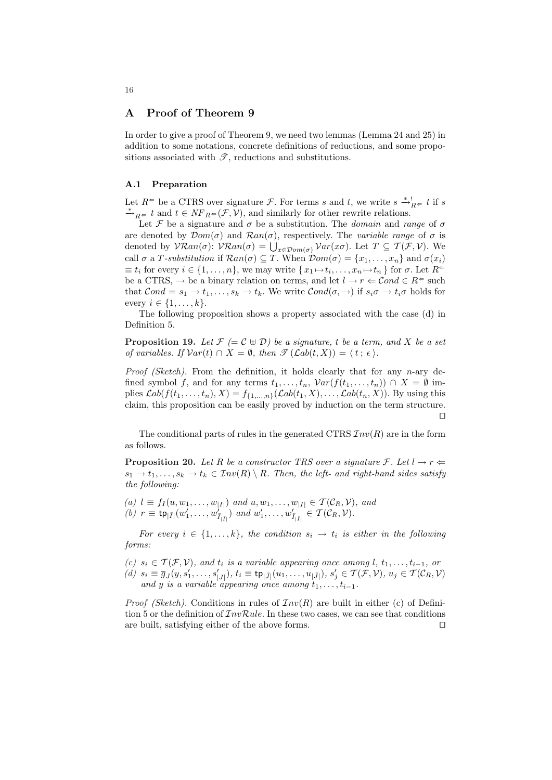## **A Proof of Theorem 9**

In order to give a proof of Theorem 9, we need two lemmas (Lemma 24 and 25) in addition to some notations, concrete definitions of reductions, and some propositions associated with  $\mathscr{T}$ , reductions and substitutions.

#### **A.1 Preparation**

Let  $R^{\Leftarrow}$  be a CTRS over signature *F*. For terms *s* and *t*, we write  $s \stackrel{*}{\to}^!_{R^{\Leftarrow}} t$  if *s*  $\stackrel{*}{\rightarrow}_{R \infty} t$  and  $t \in NF_{R \infty}(\mathcal{F}, \mathcal{V})$ , and similarly for other rewrite relations.

Let *F* be a signature and  $\sigma$  be a substitution. The *domain* and *range* of  $\sigma$ are denoted by  $\mathcal{D}om(\sigma)$  and  $\mathcal{R}an(\sigma)$ , respectively. The *variable range* of  $\sigma$  is denoted by  $V\mathcal{R}an(\sigma)$ :  $V\mathcal{R}an(\sigma) = \bigcup_{x \in \mathcal{D}om(\sigma)} Var(x\sigma)$ . Let  $T \subseteq \mathcal{T}(\mathcal{F}, V)$ . We call  $\sigma$  a *T*-substitution if  $\mathcal{R}an(\sigma) \subseteq T$ . When  $\mathcal{D}om(\sigma) = \{x_1, \ldots, x_n\}$  and  $\sigma(x_i)$  $\equiv t_i$  for every  $i \in \{1, ..., n\}$ , we may write  $\{x_1 \mapsto t_i, ..., x_n \mapsto t_n\}$  for  $\sigma$ . Let  $R^{\Leftarrow}$ be a CTRS,  $\rightarrow$  be a binary relation on terms, and let  $l \rightarrow r \Leftarrow \mathcal{C}ond \in R^{\Leftarrow}$  such that  $\mathcal{C}ond = s_1 \to t_1, \ldots, s_k \to t_k$ . We write  $\mathcal{C}ond(\sigma, \to)$  if  $s_i\sigma \to t_i\sigma$  holds for  $e^{i} \in \{1, ..., k\}.$ 

The following proposition shows a property associated with the case (d) in Definition 5.

**Proposition 19.** Let  $\mathcal{F} (= \mathcal{C} \oplus \mathcal{D})$  be a signature, t be a term, and X be a set *of variables. If*  $Var(t) \cap X = \emptyset$ *, then*  $\mathscr{T}(\mathcal{L}ab(t,X)) = \langle t; \epsilon \rangle$ *.* 

*Proof (Sketch).* From the definition, it holds clearly that for any *n*-ary defined symbol *f*, and for any terms  $t_1, \ldots, t_n$ ,  $Var(f(t_1, \ldots, t_n)) \cap X = \emptyset$  implies  $\mathcal{L}ab(f(t_1,\ldots,t_n),X) = f_{\{1,\ldots,n\}}(\mathcal{L}ab(t_1,X),\ldots,\mathcal{L}ab(t_n,X)).$  By using this claim, this proposition can be easily proved by induction on the term structure. *ut*

The conditional parts of rules in the generated CTRS *Inv*(*R*) are in the form as follows.

**Proposition 20.** Let R be a constructor TRS over a signature  $\mathcal{F}$ . Let  $l \rightarrow r \Leftarrow$  $s_1 \rightarrow t_1, \ldots, s_k \rightarrow t_k \in \mathcal{I}nv(R) \setminus R$ *. Then, the left- and right-hand sides satisfy the following:*

(a)  $l \equiv f_I(u, w_1, \ldots, w_{|I|})$  and  $u, w_1, \ldots, w_{|I|} \in \mathcal{T}(\mathcal{C}_R, \mathcal{V})$ , and (b)  $r \equiv \text{tp}_{|\bar{I}|}(w'_1, \ldots, w'_{\bar{I}_{|\bar{I}|}})$  and  $w'_1, \ldots, w'_{\bar{I}_{|\bar{I}|}} \in \mathcal{T}(\mathcal{C}_R, \mathcal{V})$ .

*For every*  $i \in \{1, \ldots, k\}$ *, the condition*  $s_i \rightarrow t_i$  *is either in the following forms:*

*(c)*  $s_i$  ∈  $T(F, V)$ *, and*  $t_i$  *is a variable appearing once among l,*  $t_1, \ldots, t_{i-1}$ *, or* (d)  $s_i \equiv \overline{g}_J(y, s'_1, \ldots, s'_{|J|}), t_i \equiv \text{tp}_{|\overline{J}|}(u_1, \ldots, u_{|\overline{J}|}), s'_j \in \mathcal{T}(\mathcal{F}, \mathcal{V}), u_j \in \mathcal{T}(\mathcal{C}_R, \mathcal{V})$ *and y is a variable appearing once among*  $t_1, \ldots, t_{i-1}$ .

*Proof (Sketch)*. Conditions in rules of  $Inv(R)$  are built in either (c) of Definition 5 or the definition of  $InvRule$ . In these two cases, we can see that conditions are built, satisfying either of the above forms. are built, satisfying either of the above forms.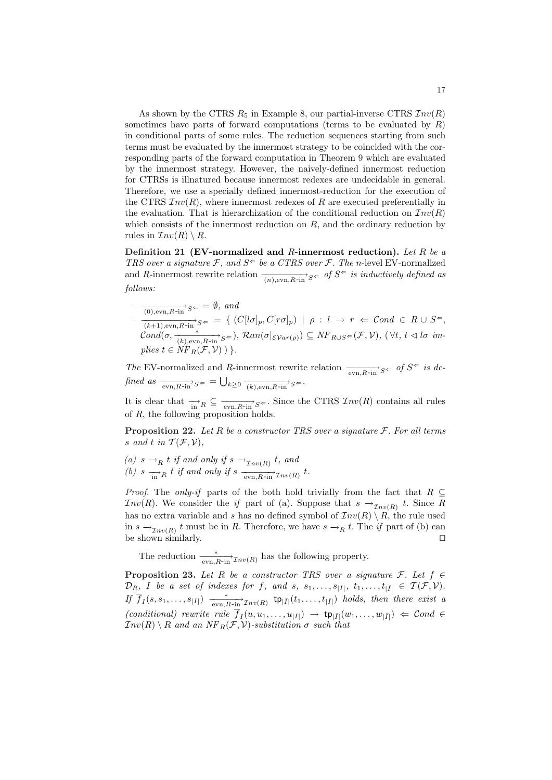As shown by the CTRS  $R_5$  in Example 8, our partial-inverse CTRS  $Inv(R)$ sometimes have parts of forward computations (terms to be evaluated by *R*) in conditional parts of some rules. The reduction sequences starting from such terms must be evaluated by the innermost strategy to be coincided with the corresponding parts of the forward computation in Theorem 9 which are evaluated by the innermost strategy. However, the naively-defined innermost reduction for CTRSs is illnatured because innermost redexes are undecidable in general. Therefore, we use a specially defined innermost-reduction for the execution of the CTRS  $Inv(R)$ , where innermost redexes of R are executed preferentially in the evaluation. That is hierarchization of the conditional reduction on  $Inv(R)$ which consists of the innermost reduction on *R*, and the ordinary reduction by rules in  $\mathcal{I}nv(R)\setminus R$ .

**Definition 21 (EV-normalized and** *R***-innermost reduction).** *Let R be a TRS over a signature*  $\mathcal{F}$ *, and*  $S^{\Leftarrow}$  *be a CTRS over*  $\mathcal{F}$ *. The n*-level EV-normalized and *<sup>R</sup>*-innermost rewrite relation *−−−−−−−−→* (*n*)*,*evn*,R-*in *<sup>S</sup>⇐ of <sup>S</sup> ⇐ is inductively defined as follows:*

 $\overrightarrow{(-0)_{\text{,evn}, R \text{-} \text{in}}}$ *S*<sup> $\Leftarrow \emptyset$ *, and*</sup>  $\frac{1}{(k+1), \text{evn}, R\text{-in}} S^{\Leftarrow}$  = {  $(C[l\sigma]_p, C[r\sigma]_p)$  |  $\rho: l \rightarrow r \Leftarrow Cond \in R \cup S^{\Leftarrow}$ ,  $\mathcal{C}ond(\sigma, \frac{*}{(k), \text{evn}, R\text{-in}}_{S^{\Leftarrow}})$ ,  $\mathcal{R}an(\sigma|_{\mathcal{EVar}(\rho)}) \subseteq NF_{R\cup S^{\Leftarrow}}(\mathcal{F}, \mathcal{V})$ , ( $\forall t, t \leq l\sigma$  im $plies t \in NF_R(\mathcal{F}, \mathcal{V})$  ) }.

*The* EV-normalized and *R*-innermost rewrite relation  $\frac{1}{\exp(R + \pi)} s \neq 0$  *f*  $S^{\Leftarrow}$  *is defined as*  $\frac{1}{\exp(R+h)} s \leftarrow \frac{1}{\exp(R+h)} s \leftarrow -\frac{1}{\exp(R+h)} s \leftarrow -\frac{1}{\exp(R+h)} s \leftarrow -\frac{1}{\exp(R+h)} s \leftarrow -\frac{1}{\exp(R+h)} s \leftarrow -\frac{1}{\exp(R+h)} s \leftarrow -\frac{1}{\exp(R+h)} s \leftarrow -\frac{1}{\exp(R+h)} s \leftarrow -\frac{1}{\exp(R+h)} s \leftarrow -\frac{1}{\exp(R+h)} s \leftarrow -\frac{1}{\exp(R+h)} s \leftarrow -\frac{1}{\exp(R+h)} s \leftarrow -\frac{1}{\exp(R+h)} s \leftarrow -$ 

It is clear that  $\frac{ }{m}$   $\cap$   $\subseteq$   $\frac{ }{ \text{evn}, R-\text{in} } S \in \cdot$ . Since the CTRS  $\mathcal{I}nv(R)$  contains all rules of *R*, the following proposition holds.

**Proposition 22.** *Let R be a constructor TRS over a signature F. For all terms s* and *t* in  $T(F, V)$ ,

*(a) <sup>s</sup> −→<sup>R</sup> <sup>t</sup> if and only if <sup>s</sup> −→Inv*(*R*) *t, and (b)*  $s \xrightarrow{\text{in}} R$  *t if* and only if  $s \xrightarrow{\text{evn}, R-\text{in}} \mathcal{I}_{nv(R)}$  *t*.

*Proof.* The *only-if* parts of the both hold trivially from the fact that *R* ⊆ *Inv*(*R*). We consider the *if* part of (a). Suppose that  $s \rightarrow_{\mathcal{I}nv(R)} t$ . Since *R* has no extra variable and *s* has no defined symbol of  $Inv(R) \setminus R$ , the rule used in  $s \rightarrow_{\mathcal{I}nv(R)} t$  must be in *R*. Therefore, we have  $s \rightarrow_R t$ . The *if* part of (b) can be shown similarly.  $\square$ 

The reduction  $\frac{*}{\text{evn}, R-\text{in}^2} \tau_{nv(R)}$  has the following property.

**Proposition 23.** Let R be a constructor TRS over a signature  $\mathcal{F}$ . Let  $f \in$  $\mathcal{D}_{R, I}$  I be a set of indexes for f, and s,  $s_1, \ldots, s_{|I|}, t_1, \ldots, t_{|\overline{I}|} \in \mathcal{T}(\mathcal{F}, \mathcal{V}).$ If  $\overline{f}_I(s,s_1,\ldots,s_{|I|})$   $\longrightarrow^*$   $\overline{\text{evn},R\text{-in}} \tau_{nv(R)}$   $\text{tp}_{|\overline{I}|}(t_1,\ldots,t_{|\overline{I}|})$  holds, then there exist a  $\text{(conditional) rewrite rule } f_I(u, u_1, \ldots, u_{|I|}) \rightarrow \text{tp}_{|\overline{I}|}(w_1, \ldots, w_{|\overline{I}|}) \Leftarrow \text{Cond} \in$  $Inv(R) \setminus R$  *and an NF<sub>R</sub>*(*F, V*)*-substitution*  $\sigma$  *such that*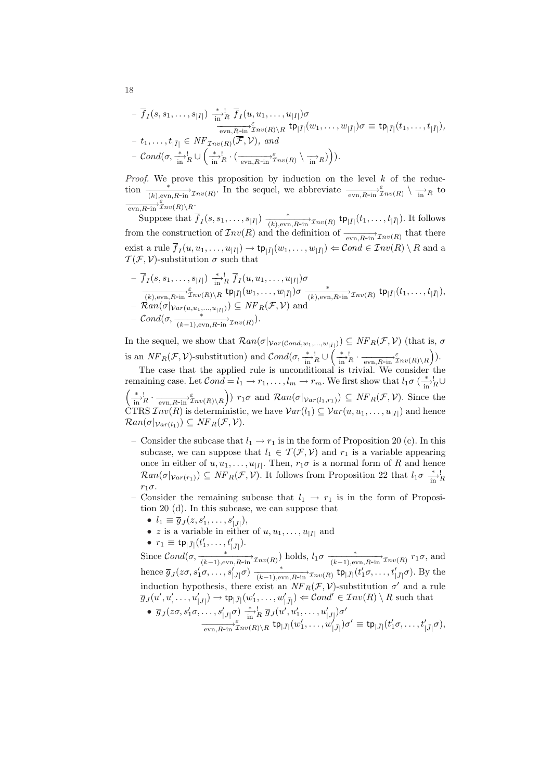$$
- \overline{f}_I(s, s_1, \ldots, s_{|I|}) \xrightarrow[\text{evn}, R \text{-in}]{*} \overline{f}_I(u, u_1, \ldots, u_{|I|}) \sigma
$$
  
\n
$$
- t_1, \ldots, t_{|\overline{I}|} \in NF_{\mathcal{I}nv(R)}(\overline{\mathcal{F}}, \mathcal{V}), \text{ and}
$$
  
\n
$$
- \mathcal{C}ond(\sigma, \frac{*}{\text{in}^{\star}}] \cup \left( \frac{*}{\text{in}^{\star}} \mathcal{K} \cdot (\frac{\sigma}{\text{evn}, R \text{-in}^{\star}} \overline{\mathcal{I}}_{\mathcal{I}v(R)}(\mathcal{K}) \setminus \overline{\mathcal{I}}_{\mathcal{I}n})\right).
$$

*Proof.* We prove this proposition by induction on the level *k* of the reduction  $\frac{*}{(k)$ ,evn,*R*-in  $\Im \text{Inv}(R)$ . In the sequel, we abbreviate  $\frac{\varepsilon}{\text{evn}, R\text{-in}} \mathcal{Inv}(R)$   $\setminus \frac{\rightarrow}{\text{in}} R$  to  $-\frac{\varepsilon}{\text{evn}, R\text{-} \text{in}^2}$  $\frac{\varepsilon}{\text{Z}nv(R)}$ 

Suppose that  $\overline{f}_I(s, s_1, \ldots, s_{|I|}) \xrightarrow[k], \text{evn}, R\text{-in}^* \mathcal{I} \text{nv}(R)$   $\text{tp}_{|\overline{I}|}(t_1, \ldots, t_{|\overline{I}|}).$  It follows from the construction of  $\mathcal{I}nv(R)$  and the definition of  $\frac{1}{\exp(R+\ln^2 \mathcal{I}nv(R))}$  that there exist a rule  $f_I(u, u_1, \ldots, u_{|I|}) \to \mathsf{tp}_{|\bar{I}|}(w_1, \ldots, w_{|\bar{I}|}) \Leftarrow \mathcal{C}ond \in \mathcal{I}nv(R) \setminus R$  and a  $\mathcal{T}(\mathcal{F}, \mathcal{V})$ -substitution  $\sigma$  such that

$$
- \overline{f}_I(s, s_1, \ldots, s_{|I|}) \frac{*}{\ln} \overline{f}_I(u, u_1, \ldots, u_{|I|}) \sigma \n\frac{\varepsilon}{(k), \text{evn}, R - \ln} \varepsilon_{\text{Inv}(R) \setminus R} \operatorname{tp}_{|\overline{I}|}(w_1, \ldots, w_{|\overline{I}|}) \sigma \frac{*}{(k), \text{evn}, R - \ln} \tau_{\text{Inv}(R)} \operatorname{tp}_{|\overline{I}|}(t_1, \ldots, t_{|\overline{I}|}), \n- \mathcal{R}an(\sigma | \nu_{\text{ar}(u, u_1, \ldots, u_{|I|})}) \subseteq NF_R(\mathcal{F}, \mathcal{V}) \text{ and} \n- \mathcal{C}ond(\sigma, \frac{*}{(k-1), \text{evn}, R - \ln} \tau_{\text{nv}(R)}).
$$

In the sequel, we show that  $\mathcal{R}an(\sigma|_{Var(\mathcal{C}ond, w_1, ..., w_{|\bar{I}|})}) \subseteq NF_R(\mathcal{F}, \mathcal{V})$  (that is,  $\sigma$ is an  $NF_R(\mathcal{F}, \mathcal{V})$ -substitution) and  $Cond(\sigma, \frac{*}{\sinh R} \cup$  $\left(\frac{*}{\text{in}^{\infty}}\right]$ *k*  $\cdot \frac{1}{\text{evn}, R-\text{in}^{\infty}}$ *z<sub>nv</sub>*(*R*) $\setminus R$  $).$ 

The case that the applied rule is unconditional is trivial. We consider the remaining case. Let  $Cond = l_1 \rightarrow r_1, \ldots, l_m \rightarrow r_m$ . We first show that  $l_1 \sigma \left(\frac{r}{\ln r}l_1\right)$  $\left(\frac{*}{\text{in}^{\circ}}\right)^{\text{f}}_{R}$  **·**  $\frac{\epsilon}{\text{evn}, R\text{-}\text{in}^{\circ}}\mathcal{I}^{n}v(R)\backslash R$ )  $r_1 \sigma$  and  $\mathcal{R}an(\sigma|_{Var(l_1,r_1)}) \subseteq NF_R(\mathcal{F}, \mathcal{V})$ . Since the  $CTRS \text{ Inv}(R)$  is deterministic, we have  $Var(l_1) \subseteq Var(u, u_1, \ldots, u_{|I|})$  and hence  $\mathcal{R}$ *an*( $\sigma$ | $\mathcal{V}_{ar(l_1)}$ )  $\subseteq$   $\mathcal{N}F_R(\mathcal{F}, \mathcal{V})$ .

- Consider the subcase that  $l_1 \rightarrow r_1$  is in the form of Proposition 20 (c). In this subcase, we can suppose that  $l_1 \in \mathcal{T}(\mathcal{F}, \mathcal{V})$  and  $r_1$  is a variable appearing once in either of  $u, u_1, \ldots, u_{|I|}$ . Then,  $r_1 \sigma$  is a normal form of *R* and hence  $\mathcal{R}an(\sigma|_{Var(r_1)}) \subseteq NF_R(\mathcal{F}, \mathcal{V})$ . It follows from Proposition 22 that  $l_1 \sigma \frac{*}{\text{ln}} l_R$ *r*1*σ*.
- Consider the remaining subcase that  $l_1 \rightarrow r_1$  is in the form of Proposition 20 (d). In this subcase, we can suppose that
	- $l_1 \equiv \overline{g}_J(z, s'_1, \ldots, s'_{|J|}),$
	- *z* is a variable in either of  $u, u_1, \ldots, u_{|I|}$  and
	- $r_1 \equiv \text{tp}_{|\bar{J}|}(t'_1, \ldots, t'_{|\bar{J}|}).$

Since  $\mathcal{C}ond(\sigma, \frac{*}{(k-1), \text{evn}, R\text{-in}} \tau_{nv(R)})$  holds,  $l_1\sigma \xrightarrow{(k-1), \text{evn}, R\text{-in}} \tau_{nv(R)} r_1\sigma$ , and hence  $\overline{g}_J(z\sigma, s'_1\sigma, \ldots, s'_{|J|}\sigma)$   $\frac{*}{(k-1)$ , evn,  $R$ -in  $\mathcal{I}_{nv(R)}$  t $p_{|J|}(t'_1\sigma, \ldots, t'_{|J|}\sigma)$ . By the induction hypothesis, there exist an  $NF_R(\mathcal{F}, \mathcal{V})$ -substitution  $\sigma'$  and a rule  $\overline{g}_J(u',u'_1,\ldots,u'_{|J|})\to \mathsf{tp}_{|\bar{J}|}(w_1',\ldots,w_{|\bar{J}|}') \Leftarrow \mathcal{C}ond'\in \mathcal{I}nv(R)\setminus R$  such that

• 
$$
\overline{g}_J(z\sigma, s'_1\sigma, \ldots, s'_{|J|}\sigma) \stackrel{*}{\underset{\text{even}, R\text{-in}}{\longrightarrow}} \overline{g}_J(u', u'_1, \ldots, u'_{|J|})\sigma'
$$
  

$$
\overline{\underset{\text{even}, R\text{-in}}{\longrightarrow}} \overline{f}_{\text{inv}(R)\setminus R} \operatorname{tp}_{|\bar{J}|}(w'_1, \ldots, w'_{|\bar{J}|})\sigma' \equiv \operatorname{tp}_{|\bar{J}|}(t'_1\sigma, \ldots, t'_{|\bar{J}|}\sigma),
$$

18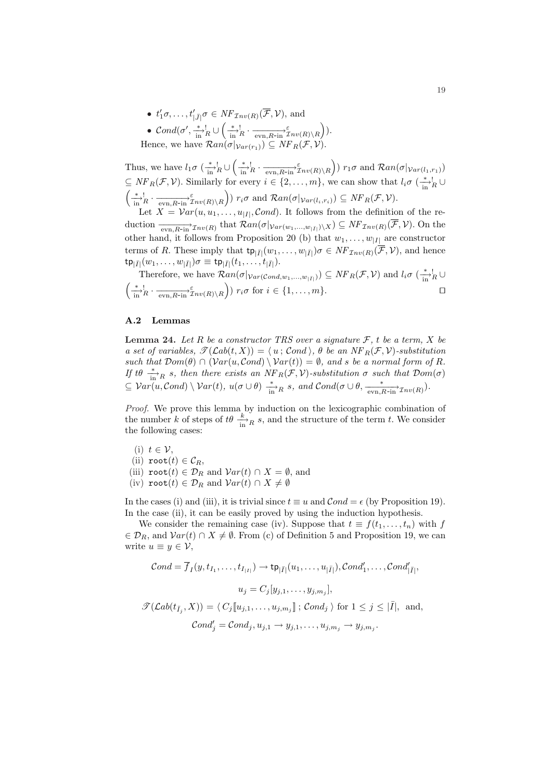•  $t'_1 \sigma, \ldots, t'_{|\bar{J}|} \sigma \in \overline{NF}_{\mathcal{I}nv(R)}(\mathcal{F}, \mathcal{V})$ , and

• 
$$
\text{Cond}(\sigma', \frac{*}{\text{in}} \cdot \text{I}_{R} \cup (\frac{*}{\text{in}} \cdot \text{I}_{\text{evn}, R-\text{in}} \cdot \text{In}_{\text{ev}(R) \setminus R})
$$
.  
Hence, we have  $\text{Ran}(\sigma |_{\text{Var}(r_1)}) \subseteq \text{NF}_R(\mathcal{F}, \mathcal{V})$ .

Thus, we have  $l_1 \sigma \left( \frac{*}{\text{ln}} \right]_R^1 \cup$  $\left(\frac{*}{\text{in}}\right)^{\text{!`}}$ *R*  $\cdot \frac{1}{\text{evn}, R\text{-}\text{in}}\mathcal{Z}_{nv(R)\setminus R}$ )  $r_1 \sigma$  and  $\mathcal{R}an(\sigma | v_{ar(l_1, r_1)})$  $\subseteq$  *NF*<sub>*R*</sub>( $\mathcal{F}, \mathcal{V}$ ). Similarly for every  $i \in \{2, \ldots, m\}$ , we can show that  $l_i \sigma \left(\frac{*}{\ln} \frac{1}{R} \cup \mathcal{V} \right)$  $\left(\frac{*}{\text{in}^{\mathcal{P}}} \right]$  *evn, R***-in**<sup> $\epsilon$ </sup>*Inv*(*R*)*\R*  $\left( \int r_i \sigma \text{ and } \mathcal{R}an(\sigma|\mathcal{V}_{ar(l_i,r_i)}) \subseteq NF_R(\mathcal{F}, \mathcal{V})\right).$ 

Let  $X = Var(u, u_1, \ldots, u_{|I|}, \mathcal{C} \text{and})$ . It follows from the definition of the reduction  $\overrightarrow{\text{evn},R\text{-in}} \mathcal{I}_{nv(R)}$  that  $\mathcal{R}an(\sigma|_{Var(w_1,...,w_{|\overline{I}|})\setminus X}) \subseteq NF_{\mathcal{I}nv(R)}(\mathcal{F},\mathcal{V})$ . On the other hand, it follows from Proposition 20 (b) that  $w_1, \ldots, w_{|I|}$  are constructor terms of *R*. These imply that  $\text{tp}_{|\bar{I}|}(w_1, \ldots, w_{|\bar{I}|})\sigma \in NF_{\mathcal{I}nv(R)}(\mathcal{F}, \mathcal{V})$ , and hence  $\tan \frac{1}{2}$   $\int \pi |U(x_1, \ldots, w_{|\bar{I}|}) \sigma \equiv \tan_{|\bar{I}|} (t_1, \ldots, t_{|\bar{I}|}).$ 

Therefore, we have  $\mathcal{R}an(\sigma|_{Var(\mathcal{C}ond,w_1,\ldots,w_{|\overline{I}|})}) \subseteq NF_R(\mathcal{F},\mathcal{V})$  and  $l_i\sigma\left(\frac{*}{\text{in}}\right)_R \cup$  $\left(\frac{*}{\text{in}}\right)^{\text{!`}}$ *R*  $\cdot \frac{1}{\text{evn}, R\text{-}\text{in}}\sum_{k=1}^{R} \mathcal{I}^{n}v(R) \setminus R$  $\left( \begin{array}{c} \n \text{if } i \in \{1, ..., m\}. \n \end{array} \right)$  *u u u* 

#### **A.2 Lemmas**

**Lemma 24.** Let  $R$  be a constructor TRS over a signature  $F$ ,  $t$  be a term,  $X$  be  $a$  set of variables,  $\mathscr{T}(\mathcal{L}ab(t, X)) = \langle u, \mathcal{C}ond \rangle$ ,  $\theta$  be an  $NF_B(\mathcal{F}, \mathcal{V})$ -substitution *such that Dom*(*θ*) *∩* (*Var*(*u, Cond*) *\ Var*(*t*)) = *∅, and s be a normal form of R. If*  $t\theta \stackrel{*}{\longrightarrow}_R s$ , then there exists an  $NF_R(\mathcal{F}, \mathcal{V})$ *-substitution*  $\sigma$  *such that*  $Dom(\sigma)$  $\subseteq Var(u, Cond) \setminus Var(t), u(\sigma \cup \theta) \stackrel{*}{\longrightarrow}_R s, and Cond(\sigma \cup \theta, \frac{*}{\text{evn}, R\text{-in}} \tau_{nv(R)})$ .

*Proof.* We prove this lemma by induction on the lexicographic combination of the number *k* of steps of  $t\theta \frac{k}{\ln R}$  *s*, and the structure of the term *t*. We consider the following cases:

(i)  $t \in \mathcal{V}$ ,

(ii) root
$$
(t) \in C_R
$$
,

- (iii)  $\text{root}(t) \in \mathcal{D}_R$  and  $\text{Var}(t) \cap X = \emptyset$ , and
- $(iv)$  root $(t)$  ∈  $\mathcal{D}_R$  and  $Var(t)$  ∩  $X \neq \emptyset$

In the cases (i) and (iii), it is trivial since  $t \equiv u$  and  $Cond = \epsilon$  (by Proposition 19). In the case (ii), it can be easily proved by using the induction hypothesis.

We consider the remaining case (iv). Suppose that  $t \equiv f(t_1, \ldots, t_n)$  with f  $∈ \mathcal{D}_R$ , and  $Var(t) ∩ X ≠ ∅$ . From (c) of Definition 5 and Proposition 19, we can write  $u \equiv y \in \mathcal{V}$ ,

$$
\mathcal{C}ond = \overline{f}_I(y, t_{I_1}, \dots, t_{I_{|I|}}) \to \text{tp}_{|\overline{I}|}(u_1, \dots, u_{|\overline{I}|}), \mathcal{C}ond'_1, \dots, \mathcal{C}ond'_{|\overline{I}|},
$$

$$
u_j = C_j[y_{j,1}, \dots, y_{j,m_j}],
$$

$$
\mathcal{J}(\mathcal{L}ab(t_{\overline{I}_j}, X)) = \langle C_j[[u_{j,1}, \dots, u_{j,m_j}]]; \mathcal{C}ond_j \rangle \text{ for } 1 \leq j \leq |\overline{I}|, \text{ and,}
$$

$$
\mathcal{C}ond'_j = \mathcal{C}ond_j, u_{j,1} \to y_{j,1}, \dots, u_{j,m_j} \to y_{j,m_j}.
$$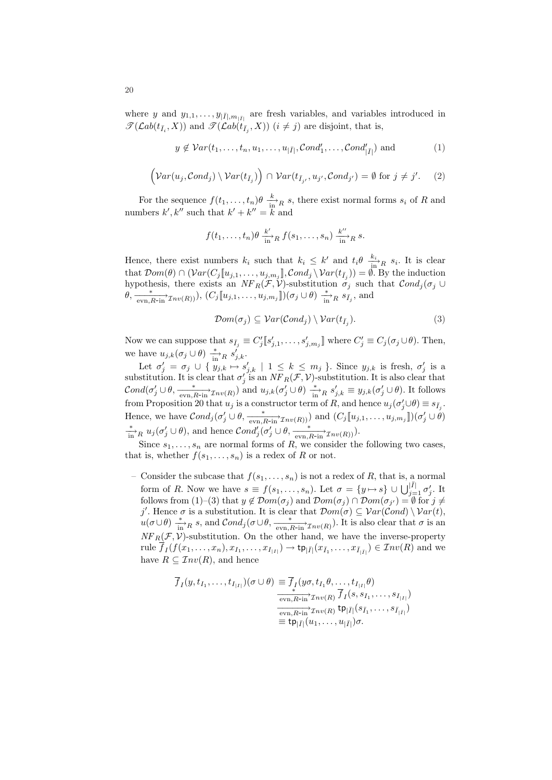where *y* and  $y_{1,1}, \ldots, y_{|\bar{I}|,m_{|\bar{I}|}}$  are fresh variables, and variables introduced in  $\mathscr{T}(\mathcal{L}ab(t_{\bar{I}_i}, X))$  and  $\mathscr{T}(\mathcal{L}ab(t_{\bar{I}_j}, X))$   $(i \neq j)$  are disjoint, that is,

$$
y \notin Var(t_1,...,t_n,u_1,...,u_{|\bar{I}|},\text{Cond}'_1,...,\text{Cond}'_{|\bar{I}|})
$$
 and (1)

$$
\left(\mathcal{V}ar(u_j, \mathcal{C}ond_j) \setminus \mathcal{V}ar(t_{\bar{I}_j})\right) \cap \mathcal{V}ar(t_{\bar{I}_{j'}}, u_{j'}, \mathcal{C}ond_{j'}) = \emptyset \text{ for } j \neq j'. \tag{2}
$$

For the sequence  $f(t_1, \ldots, t_n) \theta \frac{k}{\ln R} s$ , there exist normal forms  $s_i$  of *R* and numbers  $k', k''$  such that  $k' + k'' = k$  and

$$
f(t_1,\ldots,t_n)\theta \xrightarrow[\text{in}]{k'} R f(s_1,\ldots,s_n) \xrightarrow[\text{in}]{k''} R s.
$$

Hence, there exist numbers  $k_i$  such that  $k_i \leq k'$  and  $t_i \theta \frac{k_i}{\ln n} R s_i$ . It is clear that  $Dom(\theta) \cap (Var(C_j[[u_{j,1},...,u_{j,m_j}]], Cond_j \setminus Var(t_{\bar{I}_j})) = \emptyset$ . By the induction hypothesis, there exists an *NF*<sub>*R*</sub>( $\mathcal{F}, \mathcal{V}$ )-substitution  $\sigma_j$  such that  $Cond_j(\sigma_j \cup$  $\theta, \frac{\ast}{\text{evn}, R\text{-in}^2} \tau_{nv(R)})$ ,  $(C_j[[u_{j,1}, \ldots, u_{j,m_j}]])(\sigma_j \cup \theta) \frac{\ast}{\text{in}^2} R s_{\bar{I}_j}$ , and

$$
\mathcal{D}om(\sigma_j) \subseteq \mathcal{V}ar(\mathcal{C}ond_j) \setminus \mathcal{V}ar(t_{\bar{I}_j}).\tag{3}
$$

Now we can suppose that  $s_{\bar{I}_j} \equiv C'_j[s'_{j,1}, \ldots, s'_{j,m_j}]$  where  $C'_j \equiv C_j(\sigma_j \cup \theta)$ . Then, we have  $u_{j,k}(\sigma_j \cup \theta) \xrightarrow[\text{in}]{*} R s'_{j,k}$ .

Let  $\sigma'_j = \sigma_j \cup \{y_{j,k} \mapsto s'_{j,k} \mid 1 \leq k \leq m_j\}$ . Since  $y_{j,k}$  is fresh,  $\sigma'_j$  is a substitution. It is clear that  $\sigma'_{j}$  is an  $NF_R(\mathcal{F}, \mathcal{V})$ -substitution. It is also clear that  $\mathcal{C}ond(\sigma'_j \cup \theta, \frac{*}{\text{evn}, R\text{-in}^2} \tau_{nv(R)})$  and  $u_{j,k}(\sigma'_j \cup \theta) \stackrel{*}{\longrightarrow}_R s'_{j,k} \equiv y_{j,k}(\sigma'_j \cup \theta)$ . It follows from Proposition 20 that  $u_j$  is a constructor term of *R*, and hence  $u_j(\sigma'_j \cup \theta) \equiv s_{\bar{I}_j}$ . Hence, we have  $\mathcal{C}ond_j(\sigma'_j \cup \theta, \frac{*}{\text{evn}, R\text{-in}^2} \tau_{nv(R)})$  and  $(C_j[[u_{j,1}, \ldots, u_{j,m_j}])(\sigma'_j \cup \theta)$  $\frac{\partial}{\partial \text{in}^{\mathcal{B}}} u_j(\sigma'_j \cup \theta)$ , and hence  $\text{Cond}'_j(\sigma'_j \cup \theta, \frac{\partial}{\partial \text{even}, R\text{-in}^{\mathcal{B}}} \mathcal{I}_{nv(R)})$ .

Since  $s_1, \ldots, s_n$  are normal forms of *R*, we consider the following two cases, that is, whether  $f(s_1, \ldots, s_n)$  is a redex of *R* or not.

– Consider the subcase that  $f(s_1, \ldots, s_n)$  is not a redex of *R*, that is, a normal form of R. Now we have  $s \equiv f(s_1,\ldots,s_n)$ . Let  $\sigma = \{y \mapsto s\} \cup \bigcup_{j=1}^{\vert \bar{I} \vert} \sigma'_j$ . It follows from  $(1)–(3)$  that  $y \notin Dom(\sigma_j)$  and  $Dom(\sigma_j) \cap Dom(\sigma_{j'}) = \emptyset$  for  $j \neq j$ *j*. Hence  $\sigma$  is a substitution. It is clear that  $Dom(\sigma) \subseteq Var(Cond) \setminus Var(t)$ ,  $u(\sigma \cup \theta) \stackrel{*}{\longrightarrow}_R s$ , and  $Cond_j(\sigma \cup \theta, \frac{*}{\text{evn}, R\text{-in}^2} \mathcal{I}_{nv(R)})$ . It is also clear that  $\sigma$  is an  $NF_R(\mathcal{F}, \mathcal{V})$ -substitution. On the other hand, we have the inverse-property rule  $f_I(f(x_1,\ldots,x_n),x_{I_1},\ldots,x_{I_{|I|}}) \to \text{tp}_{|\overline{I}|}(x_{\overline{I}_1},\ldots,x_{\overline{I}_{|\overline{I}|}}) \in \mathcal{I}nv(R)$  and we have  $R \subseteq \mathcal{I}nv(R)$ , and hence

$$
\overline{f}_I(y, t_{I_1}, \dots, t_{I_{|I|}})(\sigma \cup \theta) \equiv \overline{f}_I(y\sigma, t_{I_1}\theta, \dots, t_{I_{|I|}}\theta) \n \frac{\overline{f}_I(y\sigma, t_{I_1}\theta, \dots, t_{I_{|I|}}\theta)}{\frac{\text{evn}, R\text{-in}^2 \mathcal{I}_n v(R)}{\mathcal{I}_n v(R)}} \overline{f}_I(s, s_{I_1}, \dots, s_{I_{|I|}}) \n \equiv \text{tp}_{|\overline{I}|}(u_1, \dots, u_{|\overline{I}|})\sigma.
$$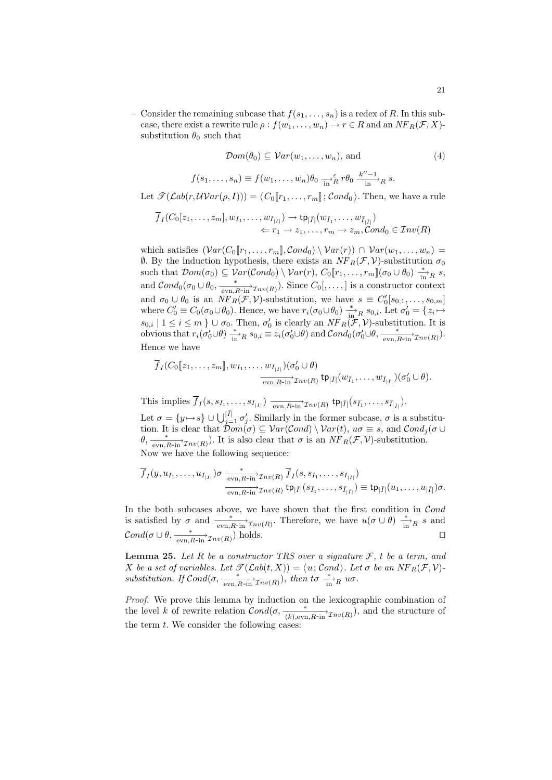Consider the remaining subcase that  $f(s_1, \ldots, s_n)$  is a redex of R. In this subcase, there exist a rewrite rule  $\rho$  :  $f(w_1, \ldots, w_n) \to r \in R$  and an  $NF_R(\mathcal{F}, X)$ substitution  $\theta_0$  such that

$$
\mathcal{D}om(\theta_0) \subseteq \mathcal{V}ar(w_1, \dots, w_n), \text{ and } \tag{4}
$$

$$
f(s_1, \ldots, s_n) \equiv f(w_1, \ldots, w_n) \theta_0 \xrightarrow[\text{in}]{\varepsilon} r \theta_0 \xrightarrow[\text{in}]{k''-1} R s.
$$
  
Let  $\mathcal{F}(\mathcal{L}ab(r, \mathcal{U}\mathcal{V}ar(\rho, I))) = \langle C_0[\![r_1, \ldots, r_m]\!]; \mathcal{C}ond_0 \rangle$ . Then, we have a rule

$$
\overline{f}_I(C_0[z_1,\ldots,z_m],w_{I_1},\ldots,w_{I_{|I|}}) \to \text{tp}_{|\overline{I}|}(w_{\overline{I}_1},\ldots,w_{\overline{I}_{|\overline{I}|}})
$$
\n
$$
\Leftarrow r_1 \to z_1,\ldots,r_m \to z_m,\text{Cond}_0 \in \mathcal{I}nv(R)
$$

which satisfies  $(\mathcal{V}ar(C_0[[r_1, \ldots, r_m], \mathcal{C}ond_0) \setminus \mathcal{V}ar(r)) \cap \mathcal{V}ar(w_1, \ldots, w_n)$  $\emptyset$ *.* By the induction hypothesis, there exists an *NF<sub>R</sub>*(*F, V*)-substitution *σ*<sup>0</sup> such that  $\mathcal{D}om(\sigma_0) \subseteq \mathcal{V}ar(\mathcal{C}ond_0) \setminus \mathcal{V}ar(r), C_0[\![r_1, \ldots, r_m]\!](\sigma_0 \cup \theta_0) \xrightarrow[\text{in}]{*} \kappa s,$ and  $Cond_0(\sigma_0 \cup \theta_0, \frac{*}{\text{evn}, R\text{-in}^2} \tau_{nv(R)})$ . Since  $C_0[, \ldots, ]$  is a constructor context and  $\sigma_0 \cup \theta_0$  is an  $NF_R(\mathcal{F}, \mathcal{V})$ -substitution, we have  $s \equiv C'_0[s_{0,1}, \ldots, s_{0,m}]$ where  $C'_0 \equiv C_0(\sigma_0 \cup \theta_0)$ . Hence, we have  $r_i(\sigma_0 \cup \theta_0) \stackrel{*}{\longrightarrow}_R s_{0,i}$ . Let  $\sigma'_0 = \{z_i \mapsto z_j \}$  $s_{0,i}$  |  $1 \leq i \leq m$  } ∪  $\sigma_0$ . Then,  $\sigma'_0$  is clearly an  $NF_R(\mathcal{F}, \mathcal{V})$ -substitution. It is obvious that  $r_i(\sigma'_0 \cup \theta) \stackrel{*}{\longrightarrow}_R s_{0,i} \equiv z_i(\sigma'_0 \cup \theta)$  and  $Cond_0(\sigma'_0 \cup \theta, \frac{*}{\text{evn}, R\text{-in}} \tau_{nv(R)})$ . Hence we have

$$
\overline{f}_I(C_0[\![z_1,\ldots,z_m]\!],w_{I_1},\ldots,w_{I_{|I|}})(\sigma'_0\cup\theta) \n\frac{w_{I_1}}{\operatorname{ev}_1,R\text{-in}^2\mathcal{I}nv(R)}\operatorname{tp}_{|\overline{I}|}(w_{\overline{I}_1},\ldots,w_{\overline{I}_{|\overline{I}|}})(\sigma'_0\cup\theta).
$$

This implies  $f_I(s, s_{I_1}, \ldots, s_{I_{|I|}})$   $\frac{}{\exp(R+1)} \pi_{nv(R)}$   $tp_{|\overline{I}|}(s_{\overline{I}_1}, \ldots, s_{\overline{I}_{|\overline{I}|}})$ . Let  $\sigma = \{y \mapsto s\} \cup \bigcup_{j=1}^{|\bar{I}|} \sigma'_j$ . Similarly in the former subcase,  $\sigma$  is a substitution. It is clear that  $\mathcal{D}om(\sigma) \subseteq \mathcal{V}ar(\mathcal{C}ond) \setminus \mathcal{V}ar(t), \omega \equiv s$ , and  $\mathcal{C}ond_j(\sigma \cup \mathcal{C}$  $\theta$ ,  $\frac{*}{\text{evn}, R\text{-in}} \mathcal{I}_{nv(R)}$ ). It is also clear that  $\sigma$  is an  $N F_R(\mathcal{F}, \mathcal{V})$ -substitution. Now we have the following sequence:

$$
\overline{f}_I(y, u_{I_1}, \ldots, u_{I_{|I|}}) \sigma \xrightarrow[\text{evn}, R\text{-in}]{*} \mathcal{I}_{\text{nv}(R)} \overline{f}_I(s, s_{I_1}, \ldots, s_{I_{|I|}}) \n\overline{\text{evn}, R\text{-in}^{\star}} \mathcal{I}_{\text{nv}(R)} \text{tp}_{|\overline{I}|}(s_{\overline{I}_1}, \ldots, s_{\overline{I}_{|\overline{I}|}}) \equiv \text{tp}_{|\overline{I}|}(u_1, \ldots, u_{|\overline{I}|}) \sigma.
$$

In the both subcases above, we have shown that the first condition in  $\mathcal{C}ond$ is satisfied by  $\sigma$  and  $\frac{*}{\text{evn}, R-\text{in}^2} \tau_{nv(R)}$ . Therefore, we have  $u(\sigma \cup \theta) \stackrel{*}{\text{in}^2} R$  *s* and  $Cond(\sigma \cup \theta, \frac{*}{\text{evn}, R\text{-in}} \mathcal{I}_{nv(R)})$  holds.  $\square$ 

**Lemma 25.** Let  $R$  be a constructor TRS over a signature  $F$ ,  $t$  be a term, and *X be a set of variables. Let*  $\mathscr{T}(\mathcal{L}ab(t,X)) = \langle u, \mathcal{C}o_{\mathcal{I}}d \rangle$ *. Let*  $\sigma$  *be an NF*  $_R(\mathcal{F}, \mathcal{V})$  $substitution.$  If  $Cond(\sigma, \frac{*}{\text{evn}, R\text{-in}} \tau_{nv(R)})$ , then  $t\sigma \frac{*}{\text{in}} R$   $u\sigma$ .

*Proof.* We prove this lemma by induction on the lexicographic combination of the level *k* of rewrite relation  $Cond(\sigma, \frac{*}{(k), \text{evn}, R\text{-in}} \gamma_{nv(R)})$ , and the structure of the term *t*. We consider the following cases: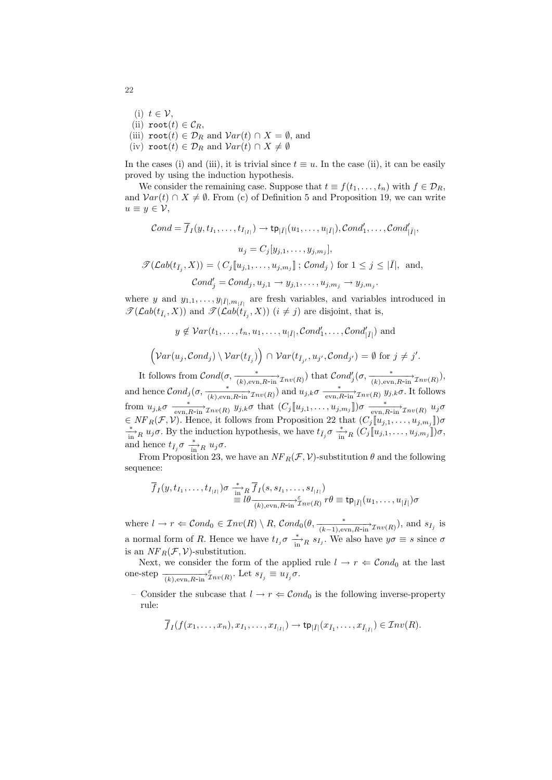(i) *t ∈ V*, (ii)  $\text{root}(t) \in \mathcal{C}_R$ , (iii)  $\text{root}(t) \in \mathcal{D}_R$  and  $\text{Var}(t) \cap X = \emptyset$ , and (iv) **root**(*t*)  $∈$   $\mathcal{D}_R$  and  $Var(t) ∩ X ≠ ∅$ 

In the cases (i) and (iii), it is trivial since  $t \equiv u$ . In the case (ii), it can be easily proved by using the induction hypothesis.

We consider the remaining case. Suppose that  $t \equiv f(t_1, \ldots, t_n)$  with  $f \in \mathcal{D}_R$ , and  $Var(t) \cap X \neq \emptyset$ . From (c) of Definition 5 and Proposition 19, we can write  $u \equiv y \in \mathcal{V}$ ,

$$
\mathcal{C}ond = \overline{f}_I(y, t_{I_1}, \dots, t_{I_{|I|}}) \rightarrow \text{tp}_{|\overline{I}|}(u_1, \dots, u_{|\overline{I}|}), \mathcal{C}ond'_1, \dots, \mathcal{C}ond'_{|\overline{I}|},
$$

$$
u_j = C_j[y_{j,1}, \dots, y_{j,m_j}],
$$

$$
\mathcal{J}(\mathcal{L}ab(t_{\overline{I}_j}, X)) = \langle C_j[[u_{j,1}, \dots, u_{j,m_j}]]; \mathcal{C}ond_j \rangle \text{ for } 1 \leq j \leq |\overline{I}|, \text{ and,}
$$

$$
\mathcal{C}ond'_j = \mathcal{C}ond_j, u_{j,1} \rightarrow y_{j,1}, \dots, u_{j,m_j} \rightarrow y_{j,m_j}.
$$

where *y* and  $y_{1,1}, \ldots, y_{|\bar{I}|,m_{|\bar{I}|}}$  are fresh variables, and variables introduced in  $\mathscr{T}(\mathcal{L}ab(t_{\bar{I}_i}, X))$  and  $\mathscr{T}(\mathcal{L}ab(t_{\bar{I}_j}, X))$   $(i \neq j)$  are disjoint, that is,

$$
y \notin Var(t_1, \ldots, t_n, u_1, \ldots, u_{|\overline{I}|}, \mathcal{C}ond'_1, \ldots, \mathcal{C}ond'_{|\overline{I}|}) \text{ and}
$$

$$
\left(Var(u_j, \mathcal{C}ond_j) \setminus Var(t_{\overline{I}_j})\right) \cap Var(t_{\overline{I}_{j'}}, u_{j'}, \mathcal{C}ond_{j'}) = \emptyset \text{ for } j \neq j
$$

*0 .*

It follows from  $\mathcal{C}ond(\sigma, \frac{*}{(k), \text{evn}, R\text{-in}^2} \tau_{nv(R)})$  that  $\mathcal{C}ond'_{j}(\sigma, \frac{*}{(k), \text{evn}, R\text{-in}^2} \tau_{nv(R)})$ , and hence  $Cond_j(\sigma, \frac{*}{(k), \text{evn}, R\text{-in}} \tau_{nv(R)})$  and  $u_{j,k}\sigma \frac{*}{\text{evn}, R\text{-in}} \tau_{nv(R)} y_{j,k}\sigma$ . It follows from  $u_{j,k}\sigma \xrightarrow[\text{evn},R-\text{in}]{*} \mathcal{I}^{n}v(R)$   $y_{j,k}\sigma$  that  $(C_j[[u_{j,1},\ldots,u_{j,m_j}])\sigma \xrightarrow[\text{evn},R-\text{in}]{*} \mathcal{I}^{n}v(R)$   $u_j\sigma$  $\in$  *NF*<sub>*R*</sub>(*F, V*). Hence, it follows from Proposition 22 that  $(C_j[[u_{j,1},...,u_{j,m_j}])\sigma$  $\frac{1}{\ln n}$   $u_j \sigma$ . By the induction hypothesis, we have  $t_{\bar{I}_j} \sigma \frac{1}{\ln n} (C_j[[u_{j,1}, \ldots, u_{j,m_j}]]) \sigma$ , and hence  $t_{\bar{I}_j} \sigma \xrightarrow[\text{in}]{*} R u_j \sigma$ .

From Proposition 23, we have an  $NF_R(\mathcal{F}, \mathcal{V})$ -substitution  $\theta$  and the following sequence:

$$
\overline{f}_I(y, t_{I_1}, \dots, t_{I_{|I|}}) \sigma \xrightarrow[\text{in}]{*} \overline{f}_I(s, s_{I_1}, \dots, s_{I_{|I|}}) \equiv l\theta \frac{\varepsilon}{(k), \text{evn}, R \text{-in}} \hat{f}_{\text{inv}(R)} r\theta \equiv \text{tp}_{|\overline{I}|}(u_1, \dots, u_{|\overline{I}|}) \sigma
$$

where  $l \to r \Leftarrow \mathcal{C}ond_0 \in \mathcal{I}nv(R) \setminus R$ ,  $\mathcal{C}ond_0(\theta, \frac{*}{(k-1), \text{evn}, R\text{-in}} \mathcal{I}nv(R))$ , and  $s_{I_j}$  is a normal form of *R*. Hence we have  $t_{I_j} \sigma \xrightarrow[i]{*} R s_{I_j}$ . We also have  $y\sigma \equiv s$  since  $\sigma$ is an  $NF_R(\mathcal{F}, \mathcal{V})$ -substitution.

Next, we consider the form of the applied rule  $l \rightarrow r \Leftarrow \mathcal{C}ond_0$  at the last one-step  $\overrightarrow{(k)$ , evn,  $R$ -in<sup> $\mathcal{E}_{\mathcal{I}}$ </sup> $\mathcal{I}_{\mathcal{IV}}(R)$ . Let  $s_{\bar{I}_j} \equiv u_{\bar{I}_j} \sigma$ .

– Consider the subcase that  $l \rightarrow r \Leftarrow \mathcal{C}ond_0$  is the following inverse-property rule:

$$
\overline{f}_I(f(x_1,\ldots,x_n),x_{I_1},\ldots,x_{I_{|I|}})\to \operatorname{\mathsf{tp}}_{|\overline{I}|}(x_{\overline{I}_1},\ldots,x_{\overline{I}_{|\overline{I}|}})\in {\mathcal Inv}(R).
$$

22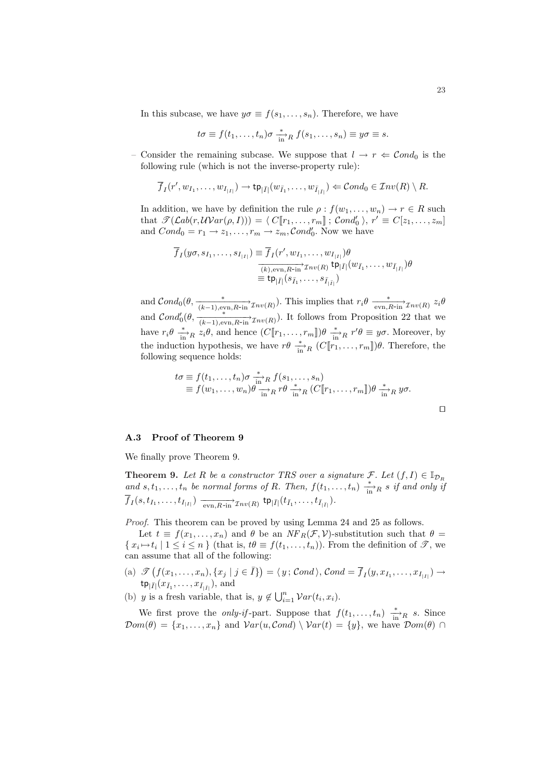In this subcase, we have  $y\sigma \equiv f(s_1, \ldots, s_n)$ . Therefore, we have

$$
t\sigma \equiv f(t_1,\ldots,t_n)\sigma \frac{*}{\ln n} f(s_1,\ldots,s_n) \equiv y\sigma \equiv s.
$$

Consider the remaining subcase. We suppose that  $l \rightarrow r \Leftarrow Cond_0$  is the following rule (which is not the inverse-property rule):

$$
\overline{f}_I(r', w_{I_1}, \ldots, w_{I_{|I|}}) \to \text{tp}_{|\overline{I}|}(w_{\overline{I}_1}, \ldots, w_{\overline{I}_{|\overline{I}|}}) \Leftarrow \text{Cond}_0 \in \text{Inv}(R) \setminus R.
$$

In addition, we have by definition the rule  $\rho : f(w_1, \ldots, w_n) \to r \in R$  such that  $\mathscr{T}(\mathcal{L}ab(r,\mathcal{U}Var(\rho,I))) = \langle C[\![r_1,\ldots,r_m]\!]; \mathcal{C}ond_0', r' \equiv C[z_1,\ldots,z_m]$ and  $Cond_0 = r_1 \rightarrow z_1, \ldots, r_m \rightarrow z_m, Cond'_0$ . Now we have

$$
\overline{f}_I(y\sigma, s_{I_1},\ldots,s_{I_{|I|}}) \equiv \overline{f}_I(r', w_{I_1},\ldots,w_{I_{|I|}})\theta
$$
\n
$$
\overline{(k), \text{evn}, R\text{-in}} \mathcal{I}nv(R) \operatorname{tp}[\overline{I}](w_{\overline{I}_1},\ldots,w_{\overline{I}_{|I|}})\theta
$$
\n
$$
\equiv \operatorname{tp}[\overline{I}](s_{\overline{I}_1},\ldots,s_{\overline{I}_{|\overline{I}|}})
$$

and  $\text{Cond}_0(\theta, \frac{*}{(k-1), \text{evn}, R\text{-in}} \tau_{nv(R)})$ . This implies that  $r_i \theta \frac{*}{\text{evn}, R\text{-in}} \tau_{nv(R)} z_i \theta$ and  $Cond'_{0}(\theta, \frac{*}{(k-1), \text{evn}, R\text{-in}} \tau_{nv(R)})$ . It follows from Proposition 22 that we have  $r_i \theta \stackrel{*}{\longrightarrow}_R z_i \theta$ , and hence  $(C[\![r_1,\ldots,r_m]\!])\theta \stackrel{*}{\longrightarrow}_R r'\theta \equiv y\sigma$ . Moreover, by the induction hypothesis, we have  $r\theta \stackrel{*}{\longrightarrow}_R (C[\![r_1,\ldots,r_m]\!])\theta$ . Therefore, the following sequence holds:

$$
t\sigma \equiv f(t_1,\ldots,t_n)\sigma \frac{*}{\ln R} f(s_1,\ldots,s_n)
$$
  
\n
$$
\equiv f(w_1,\ldots,w_n)\theta \frac{*}{\ln R} r\theta \frac{*}{\ln R} (\mathcal{C}[\![r_1,\ldots,r_m]\!])\theta \frac{*}{\ln R} y\sigma.
$$

#### **A.3 Proof of Theorem 9**

We finally prove Theorem 9.

**Theorem 9.** Let R be a constructor TRS over a signature  $\mathcal{F}$ . Let  $(f, I) \in \mathbb{I}_{\mathcal{D}_R}$ *and*  $s, t_1, \ldots, t_n$  *be normal forms of*  $R$ *. Then,*  $f(t_1, \ldots, t_n) \stackrel{*}{\longrightarrow} R$  *s if and only if*  $f_I(s, t_{I_1}, \ldots, t_{I_{|I|}}) \xrightarrow[\text{evn}, R\text{-in}]{\text{evn}, R\text{-in}} \mathcal{I}_{nv(R)} \text{tp}_{|\bar{I}|}(t_{\bar{I}_1}, \ldots, t_{\bar{I}_{|\bar{I}|}}).$ 

*Proof.* This theorem can be proved by using Lemma 24 and 25 as follows.

Let  $t \equiv f(x_1, \ldots, x_n)$  and  $\theta$  be an  $NF_R(\mathcal{F}, \mathcal{V})$ -substitution such that  $\theta =$  $\{x_i \mapsto t_i \mid 1 \leq i \leq n\}$  (that is,  $t\theta \equiv f(t_1, \ldots, t_n)$ ). From the definition of  $\mathcal{T}$ , we can assume that all of the following:

- (a)  $\mathscr{T}\left(f(x_1,\ldots,x_n),\{x_j\mid j\in\bar{I}\}\right) = \langle y;\mathcal{C}ond\rangle, \mathcal{C}ond = \overline{f}_I(y,x_{I_1},\ldots,x_{I_{|I|}}) \rightarrow$  $\text{tp}_{|\bar{I}|}(x_{\bar{I}_1}, \ldots, x_{\bar{I}_{|\bar{I}|}}), \text{ and}$
- (b) *y* is a fresh variable, that is,  $y \notin \bigcup_{i=1}^{n} Var(t_i, x_i)$ .

We first prove the *only-if*-part. Suppose that  $f(t_1, \ldots, t_n) \stackrel{*}{\longrightarrow}_R s$ . Since  $\mathcal{D}om(\theta) = \{x_1, \ldots, x_n\}$  and  $\mathcal{V}ar(u, \mathcal{C}ond) \setminus \mathcal{V}ar(t) = \{y\}$ , we have  $\mathcal{D}om(\theta) \cap$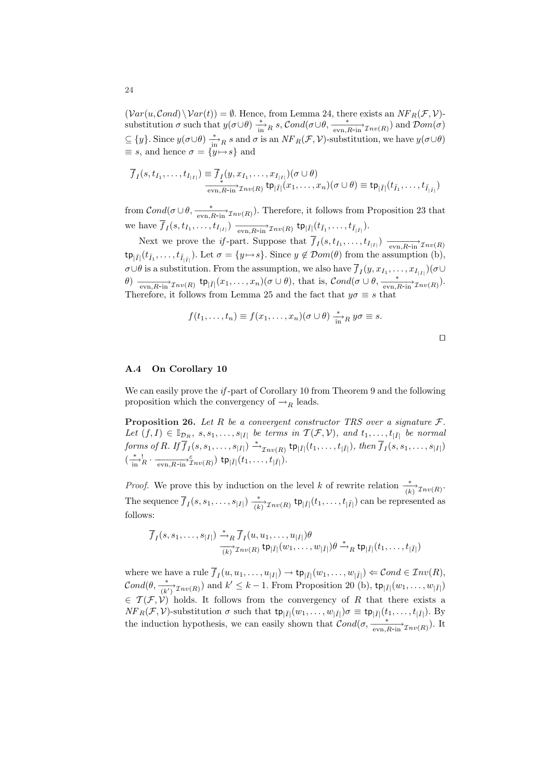$(Var(u, Cond) \setminus Var(t)) = \emptyset$ . Hence, from Lemma 24, there exists an  $NF_R(\mathcal{F}, \mathcal{V})$ substitution  $\sigma$  such that  $y(\sigma \cup \theta) \stackrel{*}{\longrightarrow}_R s$ ,  $Cond(\sigma \cup \theta, \frac{*}{\text{evn}, R\text{-in}} \mathcal{I}_{nv(R)})$  and  $Dom(\sigma)$  $\subseteq \{y\}$ . Since  $y(\sigma \cup \theta) \stackrel{*}{\longrightarrow}_R s$  and  $\sigma$  is an  $NF_R(\mathcal{F}, \mathcal{V})$ -substitution, we have  $y(\sigma \cup \theta)$  $\equiv s$ , and hence  $\sigma = \{y \mapsto s\}$  and

$$
\overline{f}_I(s, t_{I_1}, \ldots, t_{I_{|I|}}) \equiv \overline{f}_I(y, x_{I_1}, \ldots, x_{I_{|I|}})(\sigma \cup \theta)
$$
  

$$
\overline{\text{evn}, R \text{-in}}' \text{Inv}(R) \text{ tp}[\overline{I}](x_1, \ldots, x_n)(\sigma \cup \theta) \equiv \text{ tp}[\overline{I}](t_{\overline{I}_1}, \ldots, t_{\overline{I}_{|\overline{I}|}})
$$

from  $Cond(\sigma\cup\theta, \frac{*}{\text{evn}, R\text{-in}^2} \tau_{nv(R)})$ . Therefore, it follows from Proposition 23 that we have  $f_I(s, t_{I_1}, \ldots, t_{I_{|I|}}) \xrightarrow[\text{evn}, R\text{-in}]{\text{evn}, R\text{-in}^2} \mathcal{I}_{nv(R)}$  tp<sub>| $\overline{I}$ | $(t_{\overline{I}_1}, \ldots, t_{\overline{I}_{|I|}})$ .</sub>

Next we prove the *if*-part. Suppose that  $f_I(s, t_{I_1}, \ldots, t_{I_{|I|}}) \xrightarrow[\text{evn}, R\text{-in}]{\text{evn}} \mathcal{I}^{nv(R)}$  $\text{tp}_{|\bar{I}|}(t_{\bar{I}_1},\ldots,t_{\bar{I}_{|\bar{I}|}}).$  Let  $\sigma = \{y \mapsto s\}.$  Since  $y \notin \mathcal{D}om(\theta)$  from the assumption (b),  $\sigma \cup \theta$  is a substitution. From the assumption, we also have  $f_I(y, x_{I_1}, \ldots, x_{I_{|I|}})(\sigma \cup$  $\theta)$   $\overrightarrow{\text{evn}, R\text{-in}} \mathcal{I}nv(R)$   $\text{tp}|I|(x_1,\ldots,x_n)(\sigma\cup\theta)$ , that is,  $\mathcal{C}ond(\sigma\cup\theta, \frac{*}{\text{evn}, R\text{-in}} \mathcal{I}nv(R)).$ Therefore, it follows from Lemma 25 and the fact that  $y\sigma \equiv s$  that

$$
f(t_1,\ldots,t_n)\equiv f(x_1,\ldots,x_n)(\sigma\cup\theta)\frac{*}{\ln n}y\sigma\equiv s.
$$

|  | ۰ | ۰ |
|--|---|---|
|  |   |   |
|  |   |   |
|  |   |   |
|  |   |   |

#### **A.4 On Corollary 10**

We can easily prove the *if* -part of Corollary 10 from Theorem 9 and the following proposition which the convergency of *−→<sup>R</sup>* leads.

**Proposition 26.** Let  $R$  be a convergent constructor TRS over a signature  $F$ . Let  $(f, I) \in \mathbb{I}_{\mathcal{D}_R}$ ,  $s, s_1, \ldots, s_{|I|}$  be terms in  $\mathcal{T}(\mathcal{F}, \mathcal{V})$ , and  $t_1, \ldots, t_{|\overline{I}|}$  be normal  ${\it forms\ of\ } R. \ If \overline{f}_I(s,s_1,\ldots,s_{|I|}) \stackrel{*}{\longrightarrow}_{\mathcal{I}nv(R)} \mathsf{tp}_{|\bar{I}|}(t_1,\ldots,t_{|\bar{I}|}), \ then \ \overline{f}_I(s,s_1,\ldots,s_{|I|})$  $\frac{(k+1)!}{(2k)!} \cdot \frac{1}{\exp(R+1)} \mathcal{I}_{\text{TV}}(R) \cdot \frac{1}{\exp[\bar{I}]}(t_1,\ldots,t_{|\bar{I}|}).$ 

*Proof.* We prove this by induction on the level *k* of rewrite relation  $\frac{*}{(k)}$  $\tau_{nv(R)}$ . The sequence  $\overline{f}_I(s,s_1,\ldots,s_{|I|}) \xrightarrow[k]{}_{\mathcal{I}nv(R)} \textsf{tp}_{|\bar{I}|}(t_1,\ldots,t_{|\bar{I}|})$  can be represented as follows:

$$
\overline{f}_I(s,s_1,\ldots,s_{|I|}) \xrightarrow{\ast} {}_R \overline{f}_I(u,u_1,\ldots,u_{|I|}) \theta \xrightarrow[\overline{k}]} \overline{x}_I v_{|I|}(u_1,\ldots,u_{|\overline{I}|}) \theta \xrightarrow{\ast} {}_R \text{tp}_{|\overline{I}|}(t_1,\ldots,t_{|\overline{I}|})
$$

where we have a rule  $f_I(u, u_1, \ldots, u_{|I|}) \to \text{tp}_{|\bar{I}|}(w_1, \ldots, w_{|\bar{I}|}) \Leftarrow \text{Cond} \in \mathcal{I}nv(R)$ ,  $\mathcal{C}ond(\theta, \frac{*}{(k')}\tau_{nv(R)})$  and  $k' \leq k-1$ . From Proposition 20 (b),  $\mathsf{tp}_{|\bar{I}|}(w_1, \ldots, w_{|\bar{I}|})$  $\in \mathcal{T}(\mathcal{F}, \mathcal{V})$  holds. It follows from the convergency of *R* that there exists a  $NF_R(\mathcal{F}, \mathcal{V})$ -substitution  $\sigma$  such that  $tp_{|\bar{I}|}(w_1, \ldots, w_{|\bar{I}|})\sigma \equiv tp_{|\bar{I}|}(t_1, \ldots, t_{|\bar{I}|}).$  By the induction hypothesis, we can easily shown that  $Cond(\sigma, \frac{*}{\text{evn}, R-\text{in}^2} \tau_{nv(R)})$ . It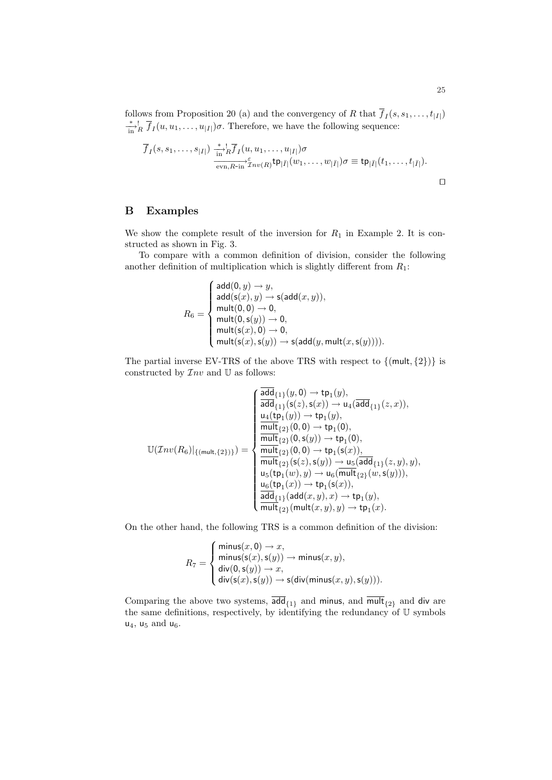follows from Proposition 20 (a) and the convergency of *R* that  $f_I(s, s_1, \ldots, t_{|I|})$  $\frac{*}{\sin^2 R} \overline{f}_I(u, u_1, \dots, u_{|I|}) \sigma$ . Therefore, we have the following sequence:

$$
\overline{f}_I(s,s_1,\ldots,s_{|I|}) \frac{\sum_{\substack{i=1 \ \text{even,} \ R \text{-in}}}\prod_{i=1}^k \overline{f}_I(u,u_1,\ldots,u_{|I|})\sigma}{\sum_{\substack{v \text{even,} \ R \text{-in}}}\prod_{i=1}^k \overline{f}_N(u,u_1,\ldots,u_{|I|})\sigma} \equiv \text{tp}_{|\overline{I}|}(t_1,\ldots,t_{|I|}).
$$

## **B Examples**

We show the complete result of the inversion for  $R_1$  in Example 2. It is constructed as shown in Fig. 3.

To compare with a common definition of division, consider the following another definition of multiplication which is slightly different from *R*1:

$$
R_6=\begin{cases}\text{add}(0,y)\rightarrow y,\\ \text{add}(\mathsf{s}(x),y)\rightarrow \mathsf{s}(\text{add}(x,y)),\\ \text{mult}(0,0)\rightarrow 0,\\ \text{mult}(\mathsf{0},\mathsf{s}(y))\rightarrow 0,\\ \text{mult}(\mathsf{s}(x),0)\rightarrow 0,\\ \text{mult}(\mathsf{s}(x),\mathsf{s}(y))\rightarrow \mathsf{s}(\text{add}(y,\text{mult}(x,\mathsf{s}(y)))).\end{cases}
$$

The partial inverse EV-TRS of the above TRS with respect to *{*(mult*, {*2*}*)*}* is constructed by  $\mathcal{I}nv$  and  $\mathbb U$  as follows:

$$
\mathbb{U}(\mathcal{I}nv(R_{6})|_{\{(mult,\{2\})\}})=\begin{cases} \frac{\overline{\mathrm{add}}_{\{1\}}(y,0)\to\mathrm{tp}_{1}(y),}{\overline{\mathrm{add}}_{\{1\}}(s(z),s(x))\to\mathrm{u}_{4}(\overline{\mathrm{add}}_{\{1\}}(z,x)),}\\ \frac{\mathrm{u}_{4}(\mathrm{tp}_{1}(y))\to\mathrm{tp}_{1}(y),}{\overline{\mathrm{mult}}_{\{2\}}(0,0)\to\mathrm{tp}_{1}(0),}\\ \frac{\overline{\mathrm{mult}}_{\{2\}}(0,0)\to\mathrm{tp}_{1}(0),}{\overline{\mathrm{mult}}_{\{2\}}(0,s(y))\to\mathrm{tp}_{1}(0),}\\ \frac{\overline{\mathrm{mult}}_{\{2\}}(0,0)\to\mathrm{tp}_{1}(s(x)),}{\overline{\mathrm{mult}}_{\{2\}}(s(z),s(y))\to\mathrm{u}_{5}(\overline{\mathrm{add}}_{\{1\}}(z,y),y),}\\ \frac{\mathrm{u}_{5}(\mathrm{tp}_{1}(w),y)\to\mathrm{u}_{6}(\overline{\mathrm{mult}}_{\{2\}}(w,s(y))),}{\overline{\mathrm{add}}_{\{1\}}(\mathrm{add}(x,y),x)\to\mathrm{tp}_{1}(y),}\\ \frac{\overline{\mathrm{add}}_{\{1\}}(\mathrm{add}(x,y),x)\to\mathrm{tp}_{1}(y),}{\overline{\mathrm{mult}}_{\{2\}}(\mathrm{mult}(x,y),y)\to\mathrm{tp}_{1}(x).}\end{cases}
$$

On the other hand, the following TRS is a common definition of the division:

$$
R_7 = \begin{cases} \min\!\mathsf{u}\mathsf{s}(x,0) \rightarrow x, \\ \min\!\mathsf{s}\mathsf{s}(x),\mathsf{s}(y)) \rightarrow \min\!\mathsf{u}\mathsf{s}(x,y), \\ \mathsf{div}(\mathsf{0},\mathsf{s}(y)) \rightarrow x, \\ \mathsf{div}(\mathsf{s}(x),\mathsf{s}(y)) \rightarrow \mathsf{s}(\mathsf{div}(\min\!\mathsf{u}\mathsf{s}(x,y),\mathsf{s}(y))). \end{cases}
$$

Comparing the above two systems,  $\overline{\mathsf{add}}_{\{1\}}$  and minus, and  $\overline{\mathsf{mult}}_{\{2\}}$  and div are the same definitions, respectively, by identifying the redundancy of  $\mathbb U$  symbols  $u_4$ ,  $u_5$  and  $u_6$ .